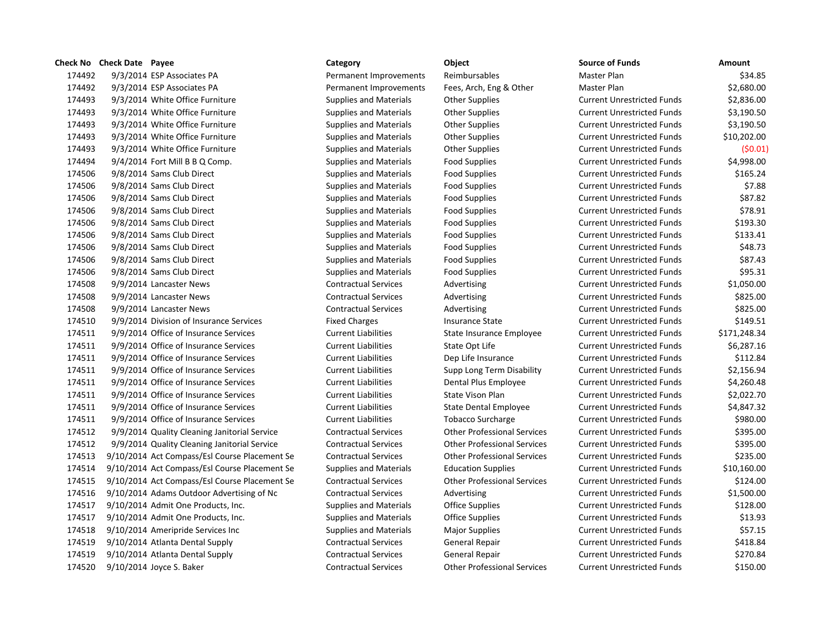174492 9/3/2014 ESP Associates PA **Permanent Improvements** Reimbursables Master Plan \$34.85 9/3/2014 ESP Associates PA Permanent Improvements Fees, Arch, Eng & Other Master Plan \$2,680.00 9/3/2014 White Office Furniture Supplies and Materials Other Supplies Current Unrestricted Funds \$2,836.00 9/3/2014 White Office Furniture Supplies and Materials Other Supplies Current Unrestricted Funds \$3,190.50 9/3/2014 White Office Furniture Supplies and Materials Other Supplies Current Unrestricted Funds \$3,190.50 9/3/2014 White Office Furniture Supplies and Materials Other Supplies Current Unrestricted Funds \$10,202.00 9/3/2014 White Office Furniture Supplies and Materials Other Supplies Current Unrestricted Funds (\$0.01) 9/4/2014 Fort Mill B B Q Comp. Supplies and Materials Food Supplies Current Unrestricted Funds \$4,998.00 9/8/2014 Sams Club Direct Supplies and Materials Food Supplies Current Unrestricted Funds \$165.24 9/8/2014 Sams Club Direct Supplies and Materials Food Supplies Current Unrestricted Funds \$7.88 9/8/2014 Sams Club Direct Supplies and Materials Food Supplies Current Unrestricted Funds \$87.82 9/8/2014 Sams Club Direct Supplies and Materials Food Supplies Current Unrestricted Funds \$78.91 9/8/2014 Sams Club Direct Supplies and Materials Food Supplies Current Unrestricted Funds \$193.30 9/8/2014 Sams Club Direct Supplies and Materials Food Supplies Current Unrestricted Funds \$133.41 9/8/2014 Sams Club Direct Supplies and Materials Food Supplies Current Unrestricted Funds \$48.73 9/8/2014 Sams Club Direct Supplies and Materials Food Supplies Current Unrestricted Funds \$87.43 9/8/2014 Sams Club Direct Supplies and Materials Food Supplies Current Unrestricted Funds \$95.31 9/9/2014 Lancaster News Contractual Services Advertising Current Unrestricted Funds \$1,050.00 9/9/2014 Lancaster News Contractual Services Advertising Current Unrestricted Funds \$825.00 9/9/2014 Lancaster News Contractual Services Advertising Current Unrestricted Funds \$825.00 9/9/2014 Division of Insurance Services Fixed Charges Insurance State Current Unrestricted Funds \$149.51 9/9/2014 Office of Insurance Services Current Liabilities State Insurance Employee Current Unrestricted Funds \$171,248.34 9/9/2014 Office of Insurance Services Current Liabilities State Opt Life Current Unrestricted Funds \$6,287.16 9/9/2014 Office of Insurance Services Current Liabilities Dep Life Insurance Current Unrestricted Funds \$112.84 9/9/2014 Office of Insurance Services Current Liabilities Supp Long Term Disability Current Unrestricted Funds \$2,156.94 9/9/2014 Office of Insurance Services Current Liabilities Dental Plus Employee Current Unrestricted Funds \$4,260.48 9/9/2014 Office of Insurance Services Current Liabilities State Vison Plan Current Unrestricted Funds \$2,022.70 9/9/2014 Office of Insurance Services Current Liabilities State Dental Employee Current Unrestricted Funds \$4,847.32 9/9/2014 Office of Insurance Services Current Liabilities Tobacco Surcharge Current Unrestricted Funds \$980.00 9/9/2014 Quality Cleaning Janitorial Service Contractual Services Other Professional Services Current Unrestricted Funds \$395.00 9/9/2014 Quality Cleaning Janitorial Service Contractual Services Other Professional Services Current Unrestricted Funds \$395.00 9/10/2014 Act Compass/Esl Course Placement Se Contractual Services Other Professional Services Current Unrestricted Funds \$235.00 9/10/2014 Act Compass/Esl Course Placement Se Supplies and Materials Education Supplies Current Unrestricted Funds \$10,160.00 9/10/2014 Act Compass/Esl Course Placement Se Contractual Services Other Professional Services Current Unrestricted Funds \$124.00 9/10/2014 Adams Outdoor Advertising of Nc Contractual Services Advertising Current Unrestricted Funds \$1,500.00 9/10/2014 Admit One Products, Inc. Supplies and Materials Office Supplies Current Unrestricted Funds \$128.00 9/10/2014 Admit One Products, Inc. Supplies and Materials Office Supplies Current Unrestricted Funds \$13.93 9/10/2014 Ameripride Services Inc Supplies and Materials Major Supplies Current Unrestricted Funds \$57.15 9/10/2014 Atlanta Dental Supply Contractual Services General Repair Current Unrestricted Funds \$418.84 9/10/2014 Atlanta Dental Supply Contractual Services General Repair Current Unrestricted Funds \$270.84 9/10/2014 Joyce S. Baker Contractual Services Other Professional Services Current Unrestricted Funds \$150.00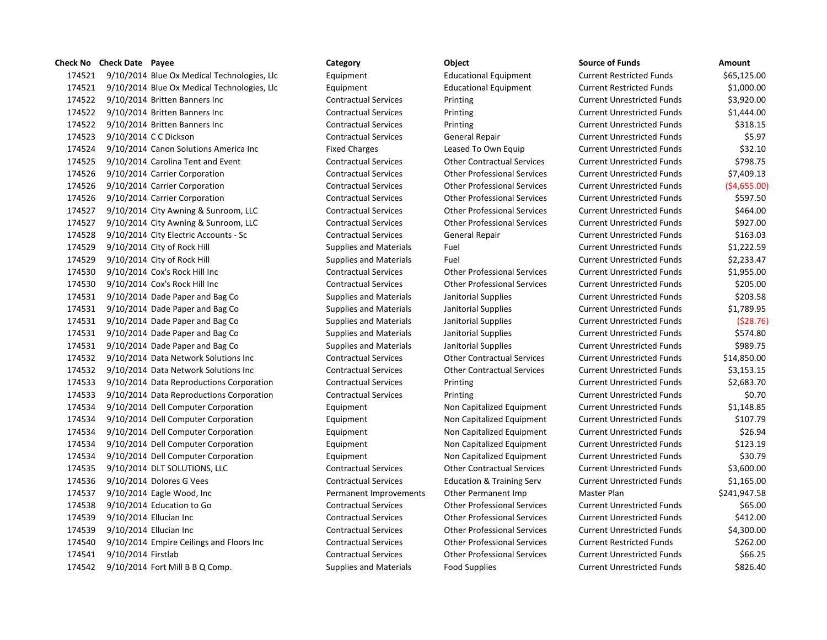174521 9/10/2014 Blue Ox Medical Technologies, Llc Equipment Educational Equipment Cur 174521 9/10/2014 Blue Ox Medical Technologies, Llc Equipment Educational Equipment Cur 174522 9/10/2014 Britten Banners Inc **Contractual Services** Printing Printing Current Current Current Current Au 174522 9/10/2014 Britten Banners Inc **Contractual Services** Printing Printing Current Current Current Current Au 174522 9/10/2014 Britten Banners Inc **Contractual Services** Printing Printing Current Current Unrestricted Funds \$318.15 174523 9/10/2014 CC Dickson Current Contractual Services General Repair Current Current Current Our 174524 9/10/2014 Canon Solutions America Inc Fixed Charges Leased To Own Equip Cur 174525 9/10/2014 Carolina Tent and Event Contractual Services Other Contractual Services Current Unrestricted Funds \$798.75 174526 9/10/2014 Carrier Corporation Contractual Services Other Professional Services Current Unrestricted Funds \$7,409.13 174526 9/10/2014 Carrier Corporation Current Contractual Services Other Professional Services Current Unrestricted Funds (\$4,655.00) 174526 9/10/2014 Carrier Corporation Current Contractual Services Other Professional Services Current Unrestricted Funds \$500.500 Current Unrestricted Funds \$500.500 Current Unrestricted Funds \$50.500 Current Unrestricted 174527 9/10/2014 City Awning & Sunroom, LLC Contractual Services Other Professional Services Cur 174527 9/10/2014 City Awning & Sunroom, LLC Contractual Services Other Professional Services Cur 174528 9/10/2014 City Electric Accounts - Sc Contractual Services General Repair Current Current Accounts - Sc 174529 9/10/2014 City of Rock Hill Supplies and Materials Fuel Current Current Current Current Current Austricted Funds \$1,222.50 174529 9/10/2014 City of Rock Hill Supplies and Materials Fuel Fuel Current Current Current Current Materials 174530 9/10/2014 Cox's Rock Hill Inc Contractual Services Other Professional Services Current Unrestricted Funds 174530 9/10/2014 Cox's Rock Hill Inc Contractual Services Other Professional Services Current Unrestricted Fund 174531 9/10/2014 Dade Paper and Bag Co Supplies and Materials Janitorial Supplies Current Current Austricted Funds 174531 9/10/2014 Dade Paper and Bag Co Supplies and Materials Janitorial Supplies Current Current Austricted Funds \$1,789.95 174531 9/10/2014 Dade Paper and Bag Co Supplies and Materials Janitorial Supplies Current Current Current Austricted Funds (\$28.76) 174531 9/10/2014 Dade Paper and Bag Co Supplies and Materials Janitorial Supplies Current Current Austricted Funds 174531 9/10/2014 Dade Paper and Bag Co Supplies and Materials Janitorial Supplies Current Current Austricted Funds \$9 174532 9/10/2014 Data Network Solutions Inc Contractual Services Current Contractual Services Current Current Cur 174532 9/10/2014 Data Network Solutions Inc Contractual Services Other Contractual Services Cur 174533 9/10/2014 Data Reproductions Corporation Contractual Services Printing Printing Current Current Current Current Current Current Current Current Current Current Current Current Current Current Current Current Current 174533 9/10/2014 Data Reproductions Corporation Contractual Services Printing Printing Current Current Current Current Current Current Current Current Current Current Current Current Current Current Current Current Current 174534 9/10/2014 Dell Computer Corporation **Equipment** Equipment Non Capitalized Equipment Cur 174534 9/10/2014 Dell Computer Corporation **Equipment** Equipment Non Capitalized Equipment Cur 174534 9/10/2014 Dell Computer Corporation **Equipment** Equipment Non Capitalized Equipment Cur 174534 9/10/2014 Dell Computer Corporation **Equipment** Equipment Non Capitalized Equipment Cur 174534 9/10/2014 Dell Computer Corporation **Equipment** Equipment Non Capitalized Equipment Cur 174535 9/10/2014 DLT SOLUTIONS, LLC Contractual Services Other Contractual Services Cur 174536 9/10/2014 Dolores G Vees Contractual Services Education & Training Serv Current Unrestricted Funds \$1, 174537 9/10/2014 Eagle Wood, Inc **Permanent Improvements** Other Permanent Imp Ma 174538 9/10/2014 Education to Go Contractual Services Other Professional Services Current Unrestricted Funds \$6 174539 9/10/2014 Ellucian Inc Contractual Services Other Professional Services Current Unrestricted Funds \$412 174539 9/10/2014 Ellucian Inc Contractual Services Other Professional Services Current Unrestricted Funds \$4,300 174540 9/10/2014 Empire Ceilings and Floors Inc Contractual Services Other Professional Services Cur 174541 9/10/2014 Firstlab Current Contractual Services Other Professional Services Current Unrestricted Funds & Gur 174542 9/10/2014 Fort Mill B B Q Comp. Supplies and Materials Food Supplies Current Current Current Current A

| urce of Funds                        | Amount       |
|--------------------------------------|--------------|
| rent Restricted Funds                | \$65,125.00  |
| rent Restricted Funds                | \$1,000.00   |
| rent Unrestricted Funds              | \$3,920.00   |
| rent Unrestricted Funds              | \$1,444.00   |
| rent Unrestricted Funds              | \$318.15     |
| rent Unrestricted Funds <sup>.</sup> | \$5.97       |
| rent Unrestricted Funds              | \$32.10      |
| rent Unrestricted Funds              | \$798.75     |
| rent Unrestricted Funds              | \$7,409.13   |
| rent Unrestricted Funds              | (\$4,655.00  |
| rent Unrestricted Funds              | \$597.50     |
| rent Unrestricted Funds              | \$464.00     |
| rent Unrestricted Funds              | \$927.00     |
| rent Unrestricted Funds              | \$163.03     |
| rent Unrestricted Funds              | \$1,222.59   |
| rent Unrestricted Funds              | \$2,233.47   |
| rent Unrestricted Funds              | \$1,955.00   |
| rent Unrestricted Funds <sup>.</sup> | \$205.00     |
| rent Unrestricted Funds              | \$203.58     |
| rent Unrestricted Funds              | \$1,789.95   |
| rent Unrestricted Funds              | (528.76      |
| rent Unrestricted Funds              | \$574.80     |
| rent Unrestricted Funds              | \$989.75     |
| rent Unrestricted Funds              | \$14,850.00  |
| rent Unrestricted Funds              | \$3,153.15   |
| rent Unrestricted Funds              | \$2,683.70   |
| rent Unrestricted Funds              | \$0.70       |
| rent Unrestricted Funds              | \$1,148.85   |
| rent Unrestricted Funds              | \$107.79     |
| rent Unrestricted Funds              | \$26.94      |
| rent Unrestricted Funds              | \$123.19     |
| rent Unrestricted Funds              | \$30.79      |
| rent Unrestricted Funds              | \$3,600.00   |
| rent Unrestricted Funds <sup>.</sup> | \$1,165.00   |
| ster Plan                            | \$241,947.58 |
| rent Unrestricted Funds              | \$65.00      |
| rent Unrestricted Funds <sup>.</sup> | \$412.00     |
| rent Unrestricted Funds              | \$4,300.00   |
| rent Restricted Funds                | \$262.00     |
| rent Unrestricted Funds              | \$66.25      |
| rent Unrestricted Funds:             | \$826.40     |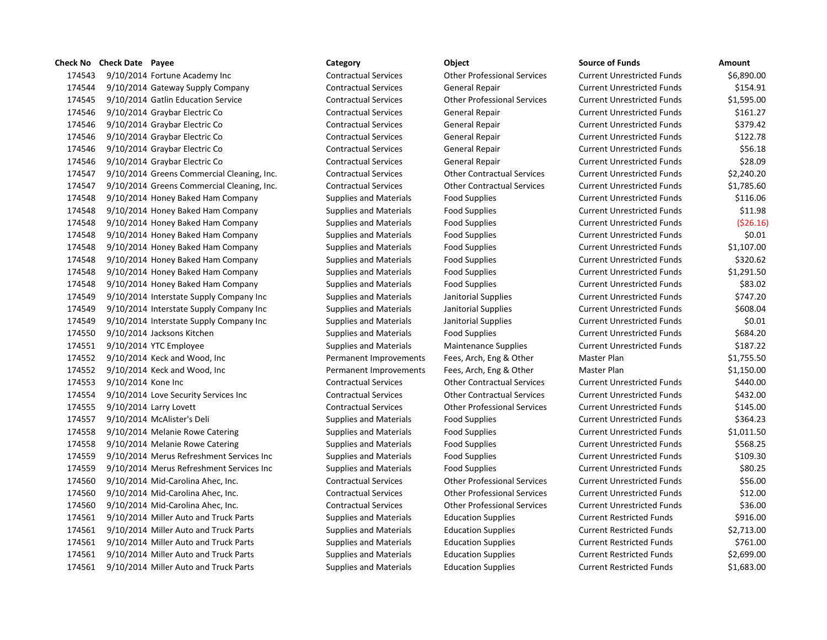9/10/2014 Fortune Academy Inc Contractual Services Other Professional Services Current Unrestricted Funds \$6,890.00 9/10/2014 Gateway Supply Company Contractual Services General Repair Current Unrestricted Funds \$154.91 9/10/2014 Gatlin Education Service Contractual Services Other Professional Services Current Unrestricted Funds \$1,595.00 9/10/2014 Graybar Electric Co Contractual Services General Repair Current Unrestricted Funds \$161.27 9/10/2014 Graybar Electric Co Contractual Services General Repair Current Unrestricted Funds \$379.42 9/10/2014 Graybar Electric Co Contractual Services General Repair Current Unrestricted Funds \$122.78 9/10/2014 Graybar Electric Co Contractual Services General Repair Current Unrestricted Funds \$56.18 9/10/2014 Graybar Electric Co Contractual Services General Repair Current Unrestricted Funds \$28.09 9/10/2014 Greens Commercial Cleaning, Inc. Contractual Services Other Contractual Services Current Unrestricted Funds \$2,240.20 9/10/2014 Greens Commercial Cleaning, Inc. Contractual Services Other Contractual Services Current Unrestricted Funds \$1,785.60 9/10/2014 Honey Baked Ham Company Supplies and Materials Food Supplies Current Unrestricted Funds \$116.06 9/10/2014 Honey Baked Ham Company Supplies and Materials Food Supplies Current Unrestricted Funds \$11.98 9/10/2014 Honey Baked Ham Company Supplies and Materials Food Supplies Current Unrestricted Funds (\$26.16) 9/10/2014 Honey Baked Ham Company Supplies and Materials Food Supplies Current Unrestricted Funds \$0.01 9/10/2014 Honey Baked Ham Company Supplies and Materials Food Supplies Current Unrestricted Funds \$1,107.00 9/10/2014 Honey Baked Ham Company Supplies and Materials Food Supplies Current Unrestricted Funds \$320.62 9/10/2014 Honey Baked Ham Company Supplies and Materials Food Supplies Current Unrestricted Funds \$1,291.50 9/10/2014 Honey Baked Ham Company Supplies and Materials Food Supplies Current Unrestricted Funds \$83.02 9/10/2014 Interstate Supply Company Inc Supplies and Materials Janitorial Supplies Current Unrestricted Funds \$747.20 174549 9/10/2014 Interstate Supply Company Inc Supplies and Materials Janitorial Supplies Current Unrestricted Funds \$608.04 9/10/2014 Interstate Supply Company Inc Supplies and Materials Janitorial Supplies Current Unrestricted Funds \$0.01 9/10/2014 Jacksons Kitchen Supplies and Materials Food Supplies Current Unrestricted Funds \$684.20 9/10/2014 YTC Employee Supplies and Materials Maintenance Supplies Current Unrestricted Funds \$187.22 9/10/2014 Keck and Wood, Inc Permanent Improvements Fees, Arch, Eng & Other Master Plan \$1,755.50 9/10/2014 Keck and Wood, Inc Permanent Improvements Fees, Arch, Eng & Other Master Plan \$1,150.00 9/10/2014 Kone Inc Contractual Services Other Contractual Services Current Unrestricted Funds \$440.00 9/10/2014 Love Security Services Inc Contractual Services Other Contractual Services Current Unrestricted Funds \$432.00 9/10/2014 Larry Lovett Contractual Services Other Professional Services Current Unrestricted Funds \$145.00 9/10/2014 McAlister's Deli Supplies and Materials Food Supplies Current Unrestricted Funds \$364.23 9/10/2014 Melanie Rowe Catering Supplies and Materials Food Supplies Current Unrestricted Funds \$1,011.50 174558 9/10/2014 Melanie Rowe Catering Supplies and Materials Food Supplies Current Unrestricted Funds \$568.25 9/10/2014 Merus Refreshment Services Inc Supplies and Materials Food Supplies Current Unrestricted Funds \$109.30 9/10/2014 Merus Refreshment Services Inc Supplies and Materials Food Supplies Current Unrestricted Funds \$80.25 9/10/2014 Mid-Carolina Ahec, Inc. Contractual Services Other Professional Services Current Unrestricted Funds \$56.00 9/10/2014 Mid-Carolina Ahec, Inc. Contractual Services Other Professional Services Current Unrestricted Funds \$12.00 9/10/2014 Mid-Carolina Ahec, Inc. Contractual Services Other Professional Services Current Unrestricted Funds \$36.00 9/10/2014 Miller Auto and Truck Parts Supplies and Materials Education Supplies Current Restricted Funds \$916.00 9/10/2014 Miller Auto and Truck Parts Supplies and Materials Education Supplies Current Restricted Funds \$2,713.00 9/10/2014 Miller Auto and Truck Parts Supplies and Materials Education Supplies Current Restricted Funds \$761.00 9/10/2014 Miller Auto and Truck Parts Supplies and Materials Education Supplies Current Restricted Funds \$2,699.00 9/10/2014 Miller Auto and Truck Parts Supplies and Materials Education Supplies Current Restricted Funds \$1,683.00

**Check No Check Date Payee Category Object Source of Funds Amount**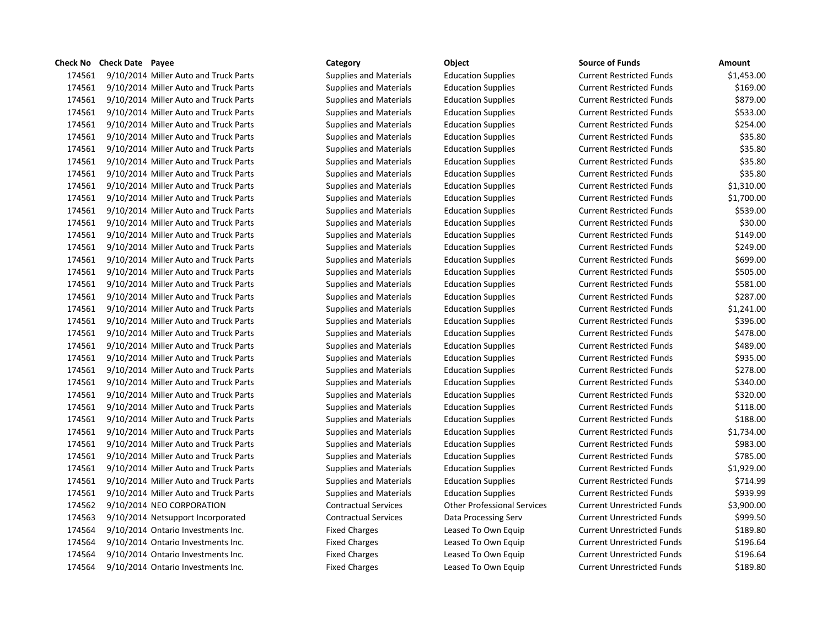9/10/2014 Miller Auto and Truck Parts Supplies and Materials Education Supplies Current Restricted Funds \$1,453.00 9/10/2014 Miller Auto and Truck Parts Supplies and Materials Education Supplies Current Restricted Funds \$169.00 9/10/2014 Miller Auto and Truck Parts Supplies and Materials Education Supplies Current Restricted Funds \$879.00 9/10/2014 Miller Auto and Truck Parts Supplies and Materials Education Supplies Current Restricted Funds \$533.00 9/10/2014 Miller Auto and Truck Parts Supplies and Materials Education Supplies Current Restricted Funds \$254.00 9/10/2014 Miller Auto and Truck Parts Supplies and Materials Education Supplies Current Restricted Funds \$35.80 9/10/2014 Miller Auto and Truck Parts Supplies and Materials Education Supplies Current Restricted Funds \$35.80 9/10/2014 Miller Auto and Truck Parts Supplies and Materials Education Supplies Current Restricted Funds \$35.80 9/10/2014 Miller Auto and Truck Parts Supplies and Materials Education Supplies Current Restricted Funds \$35.80 9/10/2014 Miller Auto and Truck Parts Supplies and Materials Education Supplies Current Restricted Funds \$1,310.00 9/10/2014 Miller Auto and Truck Parts Supplies and Materials Education Supplies Current Restricted Funds \$1,700.00 9/10/2014 Miller Auto and Truck Parts Supplies and Materials Education Supplies Current Restricted Funds \$539.00 9/10/2014 Miller Auto and Truck Parts Supplies and Materials Education Supplies Current Restricted Funds \$30.00 9/10/2014 Miller Auto and Truck Parts Supplies and Materials Education Supplies Current Restricted Funds \$149.00 9/10/2014 Miller Auto and Truck Parts Supplies and Materials Education Supplies Current Restricted Funds \$249.00 9/10/2014 Miller Auto and Truck Parts Supplies and Materials Education Supplies Current Restricted Funds \$699.00 9/10/2014 Miller Auto and Truck Parts Supplies and Materials Education Supplies Current Restricted Funds \$505.00 9/10/2014 Miller Auto and Truck Parts Supplies and Materials Education Supplies Current Restricted Funds \$581.00 9/10/2014 Miller Auto and Truck Parts Supplies and Materials Education Supplies Current Restricted Funds \$287.00 9/10/2014 Miller Auto and Truck Parts Supplies and Materials Education Supplies Current Restricted Funds \$1,241.00 9/10/2014 Miller Auto and Truck Parts Supplies and Materials Education Supplies Current Restricted Funds \$396.00 9/10/2014 Miller Auto and Truck Parts Supplies and Materials Education Supplies Current Restricted Funds \$478.00 9/10/2014 Miller Auto and Truck Parts Supplies and Materials Education Supplies Current Restricted Funds \$489.00 9/10/2014 Miller Auto and Truck Parts Supplies and Materials Education Supplies Current Restricted Funds \$935.00 9/10/2014 Miller Auto and Truck Parts Supplies and Materials Education Supplies Current Restricted Funds \$278.00 9/10/2014 Miller Auto and Truck Parts Supplies and Materials Education Supplies Current Restricted Funds \$340.00 9/10/2014 Miller Auto and Truck Parts Supplies and Materials Education Supplies Current Restricted Funds \$320.00 9/10/2014 Miller Auto and Truck Parts Supplies and Materials Education Supplies Current Restricted Funds \$118.00 9/10/2014 Miller Auto and Truck Parts Supplies and Materials Education Supplies Current Restricted Funds \$188.00 9/10/2014 Miller Auto and Truck Parts Supplies and Materials Education Supplies Current Restricted Funds \$1,734.00 9/10/2014 Miller Auto and Truck Parts Supplies and Materials Education Supplies Current Restricted Funds \$983.00 9/10/2014 Miller Auto and Truck Parts Supplies and Materials Education Supplies Current Restricted Funds \$785.00 9/10/2014 Miller Auto and Truck Parts Supplies and Materials Education Supplies Current Restricted Funds \$1,929.00 9/10/2014 Miller Auto and Truck Parts Supplies and Materials Education Supplies Current Restricted Funds \$714.99 9/10/2014 Miller Auto and Truck Parts Supplies and Materials Education Supplies Current Restricted Funds \$939.99 9/10/2014 NEO CORPORATION Contractual Services Other Professional Services Current Unrestricted Funds \$3,900.00 9/10/2014 Netsupport Incorporated Contractual Services Data Processing Serv Current Unrestricted Funds \$999.50 9/10/2014 Ontario Investments Inc. Fixed Charges Leased To Own Equip Current Unrestricted Funds \$189.80 9/10/2014 Ontario Investments Inc. Fixed Charges Leased To Own Equip Current Unrestricted Funds \$196.64 9/10/2014 Ontario Investments Inc. Fixed Charges Leased To Own Equip Current Unrestricted Funds \$196.64 9/10/2014 Ontario Investments Inc. Fixed Charges Leased To Own Equip Current Unrestricted Funds \$189.80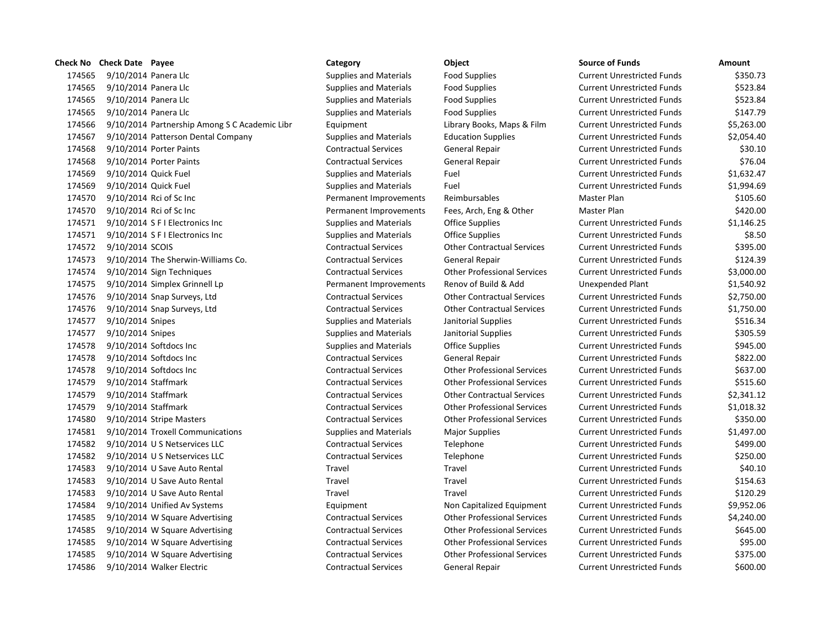|        | <b>Check No Check Date Payee</b> |                                               | Category                      | Object                             | <b>Source of Funds</b>            | Amount     |
|--------|----------------------------------|-----------------------------------------------|-------------------------------|------------------------------------|-----------------------------------|------------|
| 174565 | 9/10/2014 Panera Llc             |                                               | <b>Supplies and Materials</b> | <b>Food Supplies</b>               | <b>Current Unrestricted Funds</b> | \$350.73   |
| 174565 | 9/10/2014 Panera Llc             |                                               | <b>Supplies and Materials</b> | <b>Food Supplies</b>               | <b>Current Unrestricted Funds</b> | \$523.84   |
| 174565 | 9/10/2014 Panera Llc             |                                               | <b>Supplies and Materials</b> | <b>Food Supplies</b>               | <b>Current Unrestricted Funds</b> | \$523.84   |
| 174565 | 9/10/2014 Panera Llc             |                                               | <b>Supplies and Materials</b> | <b>Food Supplies</b>               | <b>Current Unrestricted Funds</b> | \$147.79   |
| 174566 |                                  | 9/10/2014 Partnership Among S C Academic Libr | Equipment                     | Library Books, Maps & Film         | <b>Current Unrestricted Funds</b> | \$5,263.00 |
| 174567 |                                  | 9/10/2014 Patterson Dental Company            | Supplies and Materials        | <b>Education Supplies</b>          | <b>Current Unrestricted Funds</b> | \$2,054.40 |
| 174568 |                                  | 9/10/2014 Porter Paints                       | <b>Contractual Services</b>   | General Repair                     | <b>Current Unrestricted Funds</b> | \$30.10    |
| 174568 |                                  | 9/10/2014 Porter Paints                       | <b>Contractual Services</b>   | General Repair                     | <b>Current Unrestricted Funds</b> | \$76.04    |
| 174569 | 9/10/2014 Quick Fuel             |                                               | <b>Supplies and Materials</b> | Fuel                               | <b>Current Unrestricted Funds</b> | \$1,632.47 |
| 174569 | 9/10/2014 Quick Fuel             |                                               | <b>Supplies and Materials</b> | Fuel                               | <b>Current Unrestricted Funds</b> | \$1,994.69 |
| 174570 |                                  | 9/10/2014 Rci of Sc Inc                       | Permanent Improvements        | Reimbursables                      | Master Plan                       | \$105.60   |
| 174570 |                                  | 9/10/2014 Rci of Sc Inc                       | Permanent Improvements        | Fees, Arch, Eng & Other            | Master Plan                       | \$420.00   |
| 174571 |                                  | 9/10/2014 S F I Electronics Inc               | <b>Supplies and Materials</b> | Office Supplies                    | <b>Current Unrestricted Funds</b> | \$1,146.25 |
| 174571 |                                  | 9/10/2014 S F I Electronics Inc               | <b>Supplies and Materials</b> | <b>Office Supplies</b>             | <b>Current Unrestricted Funds</b> | \$8.50     |
| 174572 | 9/10/2014 SCOIS                  |                                               | <b>Contractual Services</b>   | <b>Other Contractual Services</b>  | <b>Current Unrestricted Funds</b> | \$395.00   |
| 174573 |                                  | 9/10/2014 The Sherwin-Williams Co.            | <b>Contractual Services</b>   | General Repair                     | <b>Current Unrestricted Funds</b> | \$124.39   |
| 174574 |                                  | 9/10/2014 Sign Techniques                     | <b>Contractual Services</b>   | <b>Other Professional Services</b> | <b>Current Unrestricted Funds</b> | \$3,000.00 |
| 174575 |                                  | 9/10/2014 Simplex Grinnell Lp                 | Permanent Improvements        | Renov of Build & Add               | <b>Unexpended Plant</b>           | \$1,540.92 |
| 174576 |                                  | 9/10/2014 Snap Surveys, Ltd                   | <b>Contractual Services</b>   | <b>Other Contractual Services</b>  | <b>Current Unrestricted Funds</b> | \$2,750.00 |
| 174576 |                                  | 9/10/2014 Snap Surveys, Ltd                   | <b>Contractual Services</b>   | <b>Other Contractual Services</b>  | <b>Current Unrestricted Funds</b> | \$1,750.00 |
| 174577 | 9/10/2014 Snipes                 |                                               | <b>Supplies and Materials</b> | Janitorial Supplies                | <b>Current Unrestricted Funds</b> | \$516.34   |
| 174577 | 9/10/2014 Snipes                 |                                               | <b>Supplies and Materials</b> | Janitorial Supplies                | <b>Current Unrestricted Funds</b> | \$305.59   |
| 174578 |                                  | 9/10/2014 Softdocs Inc                        | <b>Supplies and Materials</b> | <b>Office Supplies</b>             | <b>Current Unrestricted Funds</b> | \$945.00   |
| 174578 |                                  | 9/10/2014 Softdocs Inc                        | <b>Contractual Services</b>   | General Repair                     | <b>Current Unrestricted Funds</b> | \$822.00   |
| 174578 |                                  | $9/10/2014$ Softdocs Inc                      | <b>Contractual Services</b>   | <b>Other Professional Services</b> | <b>Current Unrestricted Funds</b> | \$637.00   |
| 174579 | 9/10/2014 Staffmark              |                                               | <b>Contractual Services</b>   | <b>Other Professional Services</b> | <b>Current Unrestricted Funds</b> | \$515.60   |
| 174579 | 9/10/2014 Staffmark              |                                               | <b>Contractual Services</b>   | <b>Other Contractual Services</b>  | <b>Current Unrestricted Funds</b> | \$2,341.12 |
| 174579 | 9/10/2014 Staffmark              |                                               | <b>Contractual Services</b>   | <b>Other Professional Services</b> | <b>Current Unrestricted Funds</b> | \$1,018.32 |
| 174580 |                                  | 9/10/2014 Stripe Masters                      | <b>Contractual Services</b>   | <b>Other Professional Services</b> | <b>Current Unrestricted Funds</b> | \$350.00   |
| 174581 |                                  | 9/10/2014 Troxell Communications              | <b>Supplies and Materials</b> | <b>Major Supplies</b>              | <b>Current Unrestricted Funds</b> | \$1,497.00 |
| 174582 |                                  | 9/10/2014 U S Netservices LLC                 | <b>Contractual Services</b>   | Telephone                          | <b>Current Unrestricted Funds</b> | \$499.00   |
| 174582 |                                  | 9/10/2014 U S Netservices LLC                 | <b>Contractual Services</b>   | Telephone                          | <b>Current Unrestricted Funds</b> | \$250.00   |
| 174583 |                                  | 9/10/2014 U Save Auto Rental                  | Travel                        | Travel                             | <b>Current Unrestricted Funds</b> | \$40.10    |
| 174583 |                                  | 9/10/2014 U Save Auto Rental                  | <b>Travel</b>                 | Travel                             | <b>Current Unrestricted Funds</b> | \$154.63   |
| 174583 |                                  | 9/10/2014 U Save Auto Rental                  | Travel                        | Travel                             | <b>Current Unrestricted Funds</b> | \$120.29   |
| 174584 |                                  | 9/10/2014 Unified Av Systems                  | Equipment                     | Non Capitalized Equipment          | <b>Current Unrestricted Funds</b> | \$9,952.06 |
| 174585 |                                  | 9/10/2014 W Square Advertising                | <b>Contractual Services</b>   | <b>Other Professional Services</b> | <b>Current Unrestricted Funds</b> | \$4,240.00 |
| 174585 |                                  | 9/10/2014 W Square Advertising                | <b>Contractual Services</b>   | <b>Other Professional Services</b> | <b>Current Unrestricted Funds</b> | \$645.00   |
| 174585 |                                  | 9/10/2014 W Square Advertising                | <b>Contractual Services</b>   | <b>Other Professional Services</b> | <b>Current Unrestricted Funds</b> | \$95.00    |
| 174585 |                                  | 9/10/2014 W Square Advertising                | <b>Contractual Services</b>   | <b>Other Professional Services</b> | <b>Current Unrestricted Funds</b> | \$375.00   |
| 174586 |                                  | 9/10/2014 Walker Electric                     | <b>Contractual Services</b>   | General Repair                     | <b>Current Unrestricted Funds</b> | \$600.00   |

| eck No | <b>Check Date Payee</b>                       | Category                      | Object                             | <b>Source of Funds</b>            | Amount     |
|--------|-----------------------------------------------|-------------------------------|------------------------------------|-----------------------------------|------------|
| 174565 | 9/10/2014 Panera Llc                          | <b>Supplies and Materials</b> | <b>Food Supplies</b>               | <b>Current Unrestricted Funds</b> | \$350.73   |
| 174565 | 9/10/2014 Panera Llc                          | <b>Supplies and Materials</b> | <b>Food Supplies</b>               | <b>Current Unrestricted Funds</b> | \$523.84   |
| 174565 | 9/10/2014 Panera Llc                          | <b>Supplies and Materials</b> | <b>Food Supplies</b>               | <b>Current Unrestricted Funds</b> | \$523.84   |
| 174565 | 9/10/2014 Panera Llc                          | <b>Supplies and Materials</b> | <b>Food Supplies</b>               | <b>Current Unrestricted Funds</b> | \$147.79   |
| 174566 | 9/10/2014 Partnership Among S C Academic Libr | Equipment                     | Library Books, Maps & Film         | <b>Current Unrestricted Funds</b> | \$5,263.00 |
| 174567 | 9/10/2014 Patterson Dental Company            | <b>Supplies and Materials</b> | <b>Education Supplies</b>          | <b>Current Unrestricted Funds</b> | \$2,054.40 |
| 174568 | 9/10/2014 Porter Paints                       | <b>Contractual Services</b>   | General Repair                     | <b>Current Unrestricted Funds</b> | \$30.10    |
| 174568 | 9/10/2014 Porter Paints                       | <b>Contractual Services</b>   | General Repair                     | <b>Current Unrestricted Funds</b> | \$76.04    |
| 174569 | 9/10/2014 Quick Fuel                          | <b>Supplies and Materials</b> | Fuel                               | <b>Current Unrestricted Funds</b> | \$1,632.47 |
| 174569 | 9/10/2014 Quick Fuel                          | Supplies and Materials        | Fuel                               | <b>Current Unrestricted Funds</b> | \$1,994.69 |
| 174570 | 9/10/2014 Rci of Sc Inc                       | Permanent Improvements        | Reimbursables                      | <b>Master Plan</b>                | \$105.60   |
| 174570 | 9/10/2014 Rci of Sc Inc                       | Permanent Improvements        | Fees, Arch, Eng & Other            | Master Plan                       | \$420.00   |
| 174571 | 9/10/2014 S F I Electronics Inc               | <b>Supplies and Materials</b> | <b>Office Supplies</b>             | <b>Current Unrestricted Funds</b> | \$1,146.25 |
| 174571 | 9/10/2014 S F I Electronics Inc               | <b>Supplies and Materials</b> | <b>Office Supplies</b>             | <b>Current Unrestricted Funds</b> | \$8.50     |
| 174572 | 9/10/2014 SCOIS                               | <b>Contractual Services</b>   | <b>Other Contractual Services</b>  | <b>Current Unrestricted Funds</b> | \$395.00   |
| 174573 | 9/10/2014 The Sherwin-Williams Co.            | <b>Contractual Services</b>   | <b>General Repair</b>              | <b>Current Unrestricted Funds</b> | \$124.39   |
| 174574 | 9/10/2014 Sign Techniques                     | <b>Contractual Services</b>   | <b>Other Professional Services</b> | <b>Current Unrestricted Funds</b> | \$3,000.00 |
| 174575 | 9/10/2014 Simplex Grinnell Lp                 | Permanent Improvements        | Renov of Build & Add               | Unexpended Plant                  | \$1,540.92 |
| 174576 | 9/10/2014 Snap Surveys, Ltd                   | <b>Contractual Services</b>   | <b>Other Contractual Services</b>  | <b>Current Unrestricted Funds</b> | \$2,750.00 |
| 174576 | 9/10/2014 Snap Surveys, Ltd                   | <b>Contractual Services</b>   | <b>Other Contractual Services</b>  | <b>Current Unrestricted Funds</b> | \$1,750.00 |
| 174577 | 9/10/2014 Snipes                              | <b>Supplies and Materials</b> | Janitorial Supplies                | <b>Current Unrestricted Funds</b> | \$516.34   |
| 174577 | 9/10/2014 Snipes                              | <b>Supplies and Materials</b> | Janitorial Supplies                | <b>Current Unrestricted Funds</b> | \$305.59   |
| 174578 | 9/10/2014 Softdocs Inc                        | <b>Supplies and Materials</b> | <b>Office Supplies</b>             | <b>Current Unrestricted Funds</b> | \$945.00   |
| 174578 | 9/10/2014 Softdocs Inc                        | <b>Contractual Services</b>   | General Repair                     | <b>Current Unrestricted Funds</b> | \$822.00   |
| 174578 | 9/10/2014 Softdocs Inc                        | <b>Contractual Services</b>   | <b>Other Professional Services</b> | <b>Current Unrestricted Funds</b> | \$637.00   |
| 174579 | 9/10/2014 Staffmark                           | <b>Contractual Services</b>   | <b>Other Professional Services</b> | <b>Current Unrestricted Funds</b> | \$515.60   |
| 174579 | 9/10/2014 Staffmark                           | <b>Contractual Services</b>   | <b>Other Contractual Services</b>  | <b>Current Unrestricted Funds</b> | \$2,341.12 |
| 174579 | 9/10/2014 Staffmark                           | <b>Contractual Services</b>   | <b>Other Professional Services</b> | <b>Current Unrestricted Funds</b> | \$1,018.32 |
| 174580 | 9/10/2014 Stripe Masters                      | <b>Contractual Services</b>   | <b>Other Professional Services</b> | <b>Current Unrestricted Funds</b> | \$350.00   |
| 174581 | 9/10/2014 Troxell Communications              | <b>Supplies and Materials</b> | <b>Major Supplies</b>              | <b>Current Unrestricted Funds</b> | \$1,497.00 |
| 174582 | 9/10/2014 U S Netservices LLC                 | <b>Contractual Services</b>   | Telephone                          | <b>Current Unrestricted Funds</b> | \$499.00   |
| 174582 | 9/10/2014 U S Netservices LLC                 | <b>Contractual Services</b>   | Telephone                          | <b>Current Unrestricted Funds</b> | \$250.00   |
| 174583 | 9/10/2014 U Save Auto Rental                  | Travel                        | Travel                             | <b>Current Unrestricted Funds</b> | \$40.10    |
| 174583 | 9/10/2014 U Save Auto Rental                  | Travel                        | Travel                             | <b>Current Unrestricted Funds</b> | \$154.63   |
| 174583 | 9/10/2014 U Save Auto Rental                  | Travel                        | Travel                             | <b>Current Unrestricted Funds</b> | \$120.29   |
| 174584 | 9/10/2014 Unified Av Systems                  | Equipment                     | Non Capitalized Equipment          | <b>Current Unrestricted Funds</b> | \$9,952.06 |
| 174585 | 9/10/2014 W Square Advertising                | <b>Contractual Services</b>   | <b>Other Professional Services</b> | <b>Current Unrestricted Funds</b> | \$4,240.00 |
| 174585 | 9/10/2014 W Square Advertising                | <b>Contractual Services</b>   | <b>Other Professional Services</b> | <b>Current Unrestricted Funds</b> | \$645.00   |
| 174585 | 9/10/2014 W Square Advertising                | <b>Contractual Services</b>   | <b>Other Professional Services</b> | <b>Current Unrestricted Funds</b> | \$95.00    |
| 174585 | 9/10/2014 W Square Advertising                | <b>Contractual Services</b>   | <b>Other Professional Services</b> | <b>Current Unrestricted Funds</b> | \$375.00   |
| 174586 | 9/10/2014 Walker Electric                     | <b>Contractual Services</b>   | General Repair                     | <b>Current Unrestricted Funds</b> | \$600.00   |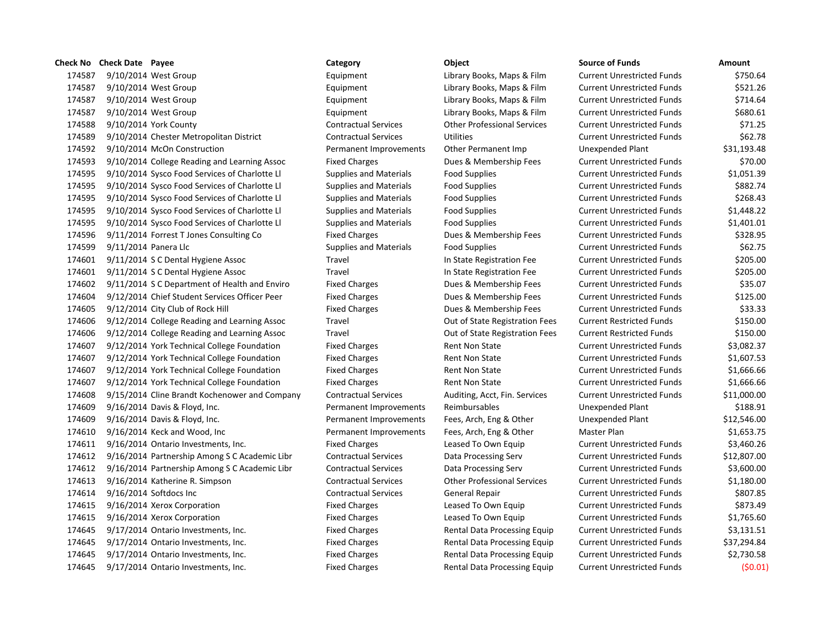|        | Check No Check Date Payee |                                               | Category                      | Object                             | <b>Source of Funds</b>            | Amount  |
|--------|---------------------------|-----------------------------------------------|-------------------------------|------------------------------------|-----------------------------------|---------|
| 174587 |                           | 9/10/2014 West Group                          | Equipment                     | Library Books, Maps & Film         | <b>Current Unrestricted Funds</b> | \$75    |
| 174587 |                           | 9/10/2014 West Group                          | Equipment                     | Library Books, Maps & Film         | <b>Current Unrestricted Funds</b> | \$52    |
| 174587 |                           | 9/10/2014 West Group                          | Equipment                     | Library Books, Maps & Film         | <b>Current Unrestricted Funds</b> | \$71    |
| 174587 |                           | 9/10/2014 West Group                          | Equipment                     | Library Books, Maps & Film         | <b>Current Unrestricted Funds</b> | \$68    |
| 174588 |                           | 9/10/2014 York County                         | <b>Contractual Services</b>   | <b>Other Professional Services</b> | <b>Current Unrestricted Funds</b> | \$7     |
| 174589 |                           | 9/10/2014 Chester Metropolitan District       | <b>Contractual Services</b>   | <b>Utilities</b>                   | <b>Current Unrestricted Funds</b> | \$6     |
| 174592 |                           | 9/10/2014 McOn Construction                   | Permanent Improvements        | Other Permanent Imp                | Unexpended Plant                  | \$31,19 |
| 174593 |                           | 9/10/2014 College Reading and Learning Assoc  | <b>Fixed Charges</b>          | Dues & Membership Fees             | <b>Current Unrestricted Funds</b> | \$7     |
| 174595 |                           | 9/10/2014 Sysco Food Services of Charlotte LI | <b>Supplies and Materials</b> | <b>Food Supplies</b>               | <b>Current Unrestricted Funds</b> | \$1,05  |
| 174595 |                           | 9/10/2014 Sysco Food Services of Charlotte LI | <b>Supplies and Materials</b> | <b>Food Supplies</b>               | <b>Current Unrestricted Funds</b> | \$88    |
| 174595 |                           | 9/10/2014 Sysco Food Services of Charlotte Ll | <b>Supplies and Materials</b> | <b>Food Supplies</b>               | <b>Current Unrestricted Funds</b> | \$26    |
| 174595 |                           | 9/10/2014 Sysco Food Services of Charlotte LI | <b>Supplies and Materials</b> | <b>Food Supplies</b>               | <b>Current Unrestricted Funds</b> | \$1,44  |
| 174595 |                           | 9/10/2014 Sysco Food Services of Charlotte Ll | <b>Supplies and Materials</b> | <b>Food Supplies</b>               | <b>Current Unrestricted Funds</b> | \$1,40  |
| 174596 |                           | 9/11/2014 Forrest T Jones Consulting Co       | <b>Fixed Charges</b>          | Dues & Membership Fees             | <b>Current Unrestricted Funds</b> | \$32    |
| 174599 | 9/11/2014 Panera Llc      |                                               | <b>Supplies and Materials</b> | Food Supplies                      | <b>Current Unrestricted Funds</b> | \$6     |
| 174601 |                           | 9/11/2014 S C Dental Hygiene Assoc            | Travel                        | In State Registration Fee          | <b>Current Unrestricted Funds</b> | \$20    |
| 174601 |                           | 9/11/2014 S C Dental Hygiene Assoc            | Travel                        | In State Registration Fee          | <b>Current Unrestricted Funds</b> | \$20    |
| 174602 |                           | 9/11/2014 S C Department of Health and Enviro | <b>Fixed Charges</b>          | Dues & Membership Fees             | <b>Current Unrestricted Funds</b> | \$3     |
| 174604 |                           | 9/12/2014 Chief Student Services Officer Peer | <b>Fixed Charges</b>          | Dues & Membership Fees             | <b>Current Unrestricted Funds</b> | \$12    |
| 174605 |                           | 9/12/2014 City Club of Rock Hill              | <b>Fixed Charges</b>          | Dues & Membership Fees             | <b>Current Unrestricted Funds</b> | \$3     |
| 174606 |                           | 9/12/2014 College Reading and Learning Assoc  | Travel                        | Out of State Registration Fees     | <b>Current Restricted Funds</b>   | \$15    |
| 174606 |                           | 9/12/2014 College Reading and Learning Assoc  | Travel                        | Out of State Registration Fees     | <b>Current Restricted Funds</b>   | \$15    |
| 174607 |                           | 9/12/2014 York Technical College Foundation   | <b>Fixed Charges</b>          | Rent Non State                     | <b>Current Unrestricted Funds</b> | \$3,08  |
| 174607 |                           | 9/12/2014 York Technical College Foundation   | <b>Fixed Charges</b>          | Rent Non State                     | <b>Current Unrestricted Funds</b> | \$1,60  |
| 174607 |                           | 9/12/2014 York Technical College Foundation   | <b>Fixed Charges</b>          | Rent Non State                     | <b>Current Unrestricted Funds</b> | \$1,66  |
| 174607 |                           | 9/12/2014 York Technical College Foundation   | <b>Fixed Charges</b>          | Rent Non State                     | <b>Current Unrestricted Funds</b> | \$1,66  |
| 174608 |                           | 9/15/2014 Cline Brandt Kochenower and Company | <b>Contractual Services</b>   | Auditing, Acct, Fin. Services      | <b>Current Unrestricted Funds</b> | \$11,00 |
| 174609 |                           | 9/16/2014 Davis & Floyd, Inc.                 | Permanent Improvements        | Reimbursables                      | <b>Unexpended Plant</b>           | \$18    |
| 174609 |                           | 9/16/2014 Davis & Floyd, Inc.                 | Permanent Improvements        | Fees, Arch, Eng & Other            | Unexpended Plant                  | \$12,54 |
| 174610 |                           | 9/16/2014 Keck and Wood, Inc                  | Permanent Improvements        | Fees, Arch, Eng & Other            | Master Plan                       | \$1,65  |
| 174611 |                           | 9/16/2014 Ontario Investments, Inc.           | <b>Fixed Charges</b>          | Leased To Own Equip                | <b>Current Unrestricted Funds</b> | \$3,46  |
| 174612 |                           | 9/16/2014 Partnership Among S C Academic Libr | <b>Contractual Services</b>   | Data Processing Serv               | <b>Current Unrestricted Funds</b> | \$12,80 |
| 174612 |                           | 9/16/2014 Partnership Among S C Academic Libr | <b>Contractual Services</b>   | Data Processing Serv               | <b>Current Unrestricted Funds</b> | \$3,60  |
| 174613 |                           | 9/16/2014 Katherine R. Simpson                | <b>Contractual Services</b>   | <b>Other Professional Services</b> | <b>Current Unrestricted Funds</b> | \$1,18  |
| 174614 |                           | $9/16/2014$ Softdocs Inc                      | <b>Contractual Services</b>   | General Repair                     | <b>Current Unrestricted Funds</b> | \$80    |
| 174615 |                           | 9/16/2014 Xerox Corporation                   | <b>Fixed Charges</b>          | Leased To Own Equip                | <b>Current Unrestricted Funds</b> | \$87    |
| 174615 |                           | 9/16/2014 Xerox Corporation                   | <b>Fixed Charges</b>          | Leased To Own Equip                | <b>Current Unrestricted Funds</b> | \$1,76  |
| 174645 |                           | 9/17/2014 Ontario Investments, Inc.           | <b>Fixed Charges</b>          | Rental Data Processing Equip       | <b>Current Unrestricted Funds</b> | \$3,13  |
| 174645 |                           | 9/17/2014 Ontario Investments, Inc.           | <b>Fixed Charges</b>          | Rental Data Processing Equip       | <b>Current Unrestricted Funds</b> | \$37,29 |
| 174645 |                           | 9/17/2014 Ontario Investments, Inc.           | <b>Fixed Charges</b>          | Rental Data Processing Equip       | <b>Current Unrestricted Funds</b> | \$2,73  |
| 174645 |                           | 9/17/2014 Ontario Investments, Inc.           | <b>Fixed Charges</b>          | Rental Data Processing Equip       | <b>Current Unrestricted Funds</b> | (\$     |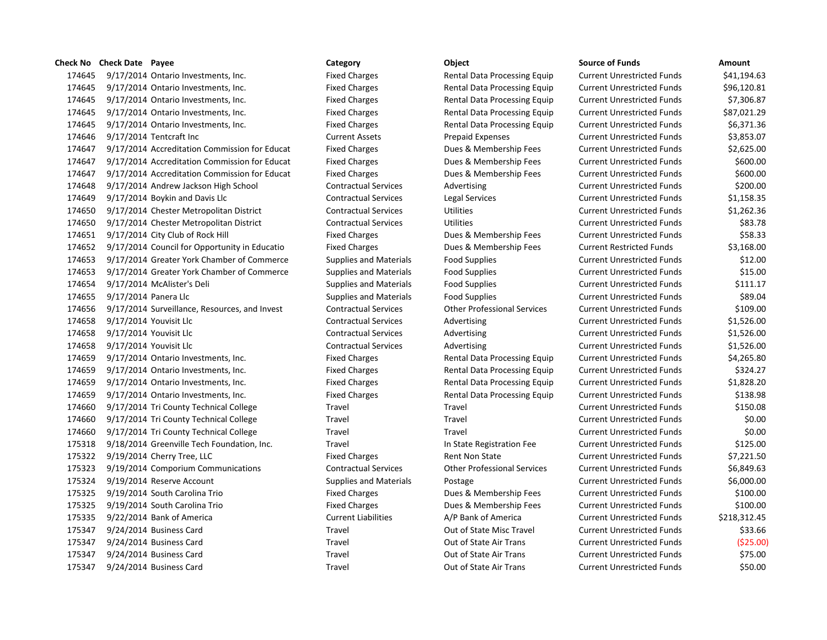9/17/2014 Ontario Investments, Inc. Fixed Charges Rental Data Processing Equip Current Unrestricted Funds \$41,194.63 9/17/2014 Ontario Investments, Inc. Fixed Charges Rental Data Processing Equip Current Unrestricted Funds \$96,120.81 9/17/2014 Ontario Investments, Inc. Fixed Charges Rental Data Processing Equip Current Unrestricted Funds \$7,306.87 9/17/2014 Ontario Investments, Inc. Fixed Charges Rental Data Processing Equip Current Unrestricted Funds \$87,021.29 9/17/2014 Ontario Investments, Inc. Fixed Charges Rental Data Processing Equip Current Unrestricted Funds \$6,371.36 9/17/2014 Tentcraft Inc Current Assets Prepaid Expenses Current Unrestricted Funds \$3,853.07 9/17/2014 Accreditation Commission for Educat Fixed Charges Dues & Membership Fees Current Unrestricted Funds \$2,625.00 9/17/2014 Accreditation Commission for Educat Fixed Charges Dues & Membership Fees Current Unrestricted Funds \$600.00 9/17/2014 Accreditation Commission for Educat Fixed Charges Dues & Membership Fees Current Unrestricted Funds \$600.00 9/17/2014 Andrew Jackson High School Contractual Services Advertising Current Unrestricted Funds \$200.00 9/17/2014 Boykin and Davis Llc Contractual Services Legal Services Current Unrestricted Funds \$1,158.35 9/17/2014 Chester Metropolitan District Contractual Services Utilities Current Unrestricted Funds \$1,262.36 9/17/2014 Chester Metropolitan District Contractual Services Utilities Current Unrestricted Funds \$83.78 9/17/2014 City Club of Rock Hill Fixed Charges Dues & Membership Fees Current Unrestricted Funds \$58.33 9/17/2014 Council for Opportunity in Educatio Fixed Charges Dues & Membership Fees Current Restricted Funds \$3,168.00 9/17/2014 Greater York Chamber of Commerce Supplies and Materials Food Supplies Current Unrestricted Funds \$12.00 9/17/2014 Greater York Chamber of Commerce Supplies and Materials Food Supplies Current Unrestricted Funds \$15.00 174654 9/17/2014 McAlister's Deli Supplies and Materials Food Supplies Current Unrestricted Funds \$111.17 174655 9/17/2014 Panera Llc Supplies and Materials Food Supplies Current Unrestricted Funds \$89.04 9/17/2014 Surveillance, Resources, and Invest Contractual Services Other Professional Services Current Unrestricted Funds \$109.00 9/17/2014 Youvisit Llc Contractual Services Advertising Current Unrestricted Funds \$1,526.00 9/17/2014 Youvisit Llc Contractual Services Advertising Current Unrestricted Funds \$1,526.00 9/17/2014 Youvisit Llc Contractual Services Advertising Current Unrestricted Funds \$1,526.00 9/17/2014 Ontario Investments, Inc. Fixed Charges Rental Data Processing Equip Current Unrestricted Funds \$4,265.80 174659 9/17/2014 Ontario Investments, Inc. Fixed Charges Rental Data Processing Equip Current Unrestricted Funds \$324.27 9/17/2014 Ontario Investments, Inc. Fixed Charges Rental Data Processing Equip Current Unrestricted Funds \$1,828.20 9/17/2014 Ontario Investments, Inc. Fixed Charges Rental Data Processing Equip Current Unrestricted Funds \$138.98 9/17/2014 Tri County Technical College Travel Travel Current Unrestricted Funds \$150.08 9/17/2014 Tri County Technical College Travel Travel Current Unrestricted Funds \$0.00 9/17/2014 Tri County Technical College Travel Travel Current Unrestricted Funds \$0.00 9/18/2014 Greenville Tech Foundation, Inc. Travel In State Registration Fee Current Unrestricted Funds \$125.00 175322 9/19/2014 Cherry Tree, LLC **Fixed Charges** Fixed Charges Rent Non State Current Unrestricted Funds \$7,221.50 9/19/2014 Comporium Communications Contractual Services Other Professional Services Current Unrestricted Funds \$6,849.63 9/19/2014 Reserve Account Supplies and Materials Postage Current Unrestricted Funds \$6,000.00 9/19/2014 South Carolina Trio Fixed Charges Dues & Membership Fees Current Unrestricted Funds \$100.00 9/19/2014 South Carolina Trio Fixed Charges Dues & Membership Fees Current Unrestricted Funds \$100.00 9/22/2014 Bank of America Current Liabilities A/P Bank of America Current Unrestricted Funds \$218,312.45 9/24/2014 Business Card Travel Out of State Misc Travel Current Unrestricted Funds \$33.66 9/24/2014 Business Card Travel Out of State Air Trans Current Unrestricted Funds (\$25.00) 9/24/2014 Business Card Travel Out of State Air Trans Current Unrestricted Funds \$75.00 9/24/2014 Business Card Travel Out of State Air Trans Current Unrestricted Funds \$50.00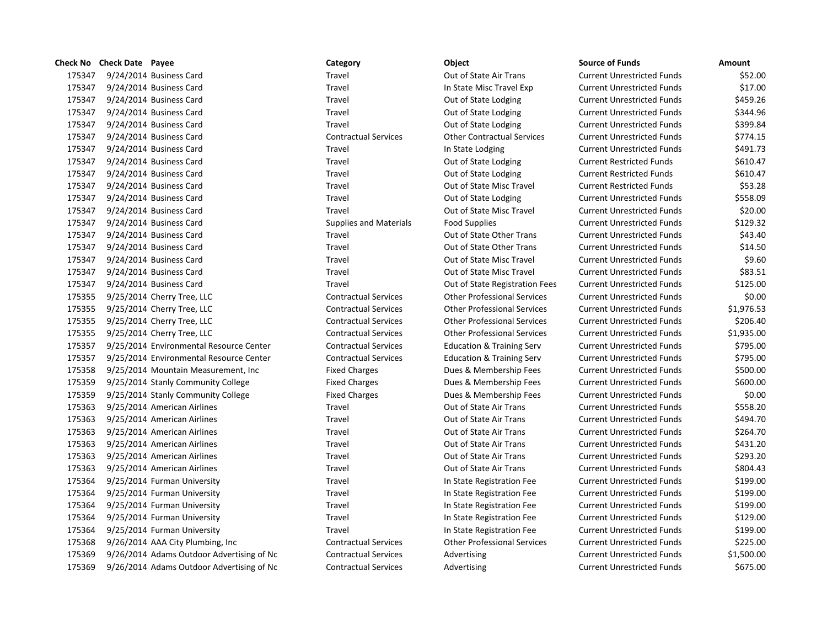|        | Check No Check Date Payee |                                           | Category                      | Object                               | <b>Source of Funds</b>            | Amount |
|--------|---------------------------|-------------------------------------------|-------------------------------|--------------------------------------|-----------------------------------|--------|
| 175347 |                           | 9/24/2014 Business Card                   | Travel                        | Out of State Air Trans               | <b>Current Unrestricted Funds</b> | \$5    |
| 175347 |                           | 9/24/2014 Business Card                   | Travel                        | In State Misc Travel Exp             | <b>Current Unrestricted Funds</b> | \$1    |
| 175347 |                           | 9/24/2014 Business Card                   | Travel                        | Out of State Lodging                 | <b>Current Unrestricted Funds</b> | \$45   |
| 175347 |                           | 9/24/2014 Business Card                   | Travel                        | Out of State Lodging                 | <b>Current Unrestricted Funds</b> | \$34   |
| 175347 |                           | 9/24/2014 Business Card                   | Travel                        | Out of State Lodging                 | <b>Current Unrestricted Funds</b> | \$39   |
| 175347 |                           | 9/24/2014 Business Card                   | <b>Contractual Services</b>   | <b>Other Contractual Services</b>    | <b>Current Unrestricted Funds</b> | \$77   |
| 175347 |                           | 9/24/2014 Business Card                   | Travel                        | In State Lodging                     | <b>Current Unrestricted Funds</b> | \$49   |
| 175347 |                           | 9/24/2014 Business Card                   | Travel                        | Out of State Lodging                 | <b>Current Restricted Funds</b>   | \$61   |
| 175347 |                           | 9/24/2014 Business Card                   | Travel                        | Out of State Lodging                 | <b>Current Restricted Funds</b>   | \$61   |
| 175347 |                           | 9/24/2014 Business Card                   | Travel                        | Out of State Misc Travel             | <b>Current Restricted Funds</b>   | \$5    |
| 175347 |                           | 9/24/2014 Business Card                   | Travel                        | Out of State Lodging                 | <b>Current Unrestricted Funds</b> | \$55   |
| 175347 |                           | 9/24/2014 Business Card                   | Travel                        | Out of State Misc Travel             | <b>Current Unrestricted Funds</b> | \$2    |
| 175347 |                           | 9/24/2014 Business Card                   | <b>Supplies and Materials</b> | <b>Food Supplies</b>                 | <b>Current Unrestricted Funds</b> | \$12   |
| 175347 |                           | 9/24/2014 Business Card                   | Travel                        | Out of State Other Trans             | <b>Current Unrestricted Funds</b> | \$4    |
| 175347 |                           | 9/24/2014 Business Card                   | Travel                        | Out of State Other Trans             | <b>Current Unrestricted Funds</b> | \$1    |
| 175347 |                           | 9/24/2014 Business Card                   | Travel                        | Out of State Misc Travel             | <b>Current Unrestricted Funds</b> | \$     |
| 175347 |                           | 9/24/2014 Business Card                   | Travel                        | Out of State Misc Travel             | <b>Current Unrestricted Funds</b> | \$8    |
| 175347 |                           | 9/24/2014 Business Card                   | Travel                        | Out of State Registration Fees       | <b>Current Unrestricted Funds</b> | \$12   |
| 175355 |                           | 9/25/2014 Cherry Tree, LLC                | <b>Contractual Services</b>   | <b>Other Professional Services</b>   | <b>Current Unrestricted Funds</b> | \$     |
| 175355 |                           | 9/25/2014 Cherry Tree, LLC                | <b>Contractual Services</b>   | <b>Other Professional Services</b>   | <b>Current Unrestricted Funds</b> | \$1,97 |
| 175355 |                           | 9/25/2014 Cherry Tree, LLC                | <b>Contractual Services</b>   | <b>Other Professional Services</b>   | <b>Current Unrestricted Funds</b> | \$20   |
| 175355 |                           | 9/25/2014 Cherry Tree, LLC                | <b>Contractual Services</b>   | <b>Other Professional Services</b>   | <b>Current Unrestricted Funds</b> | \$1,93 |
| 175357 |                           | 9/25/2014 Environmental Resource Center   | <b>Contractual Services</b>   | <b>Education &amp; Training Serv</b> | <b>Current Unrestricted Funds</b> | \$79   |
| 175357 |                           | 9/25/2014 Environmental Resource Center   | <b>Contractual Services</b>   | <b>Education &amp; Training Serv</b> | <b>Current Unrestricted Funds</b> | \$79   |
| 175358 |                           | 9/25/2014 Mountain Measurement, Inc.      | <b>Fixed Charges</b>          | Dues & Membership Fees               | <b>Current Unrestricted Funds</b> | \$50   |
| 175359 |                           | 9/25/2014 Stanly Community College        | <b>Fixed Charges</b>          | Dues & Membership Fees               | <b>Current Unrestricted Funds</b> | \$60   |
| 175359 |                           | 9/25/2014 Stanly Community College        | <b>Fixed Charges</b>          | Dues & Membership Fees               | <b>Current Unrestricted Funds</b> | \$     |
| 175363 |                           | 9/25/2014 American Airlines               | Travel                        | Out of State Air Trans               | <b>Current Unrestricted Funds</b> | \$55   |
| 175363 |                           | 9/25/2014 American Airlines               | Travel                        | Out of State Air Trans               | <b>Current Unrestricted Funds</b> | \$49   |
| 175363 |                           | 9/25/2014 American Airlines               | Travel                        | Out of State Air Trans               | <b>Current Unrestricted Funds</b> | \$26   |
| 175363 |                           | 9/25/2014 American Airlines               | Travel                        | Out of State Air Trans               | <b>Current Unrestricted Funds</b> | \$43   |
| 175363 |                           | 9/25/2014 American Airlines               | Travel                        | Out of State Air Trans               | <b>Current Unrestricted Funds</b> | \$29   |
| 175363 |                           | 9/25/2014 American Airlines               | Travel                        | Out of State Air Trans               | <b>Current Unrestricted Funds</b> | \$80   |
| 175364 |                           | 9/25/2014 Furman University               | Travel                        | In State Registration Fee            | <b>Current Unrestricted Funds</b> | \$19   |
| 175364 |                           | 9/25/2014 Furman University               | Travel                        | In State Registration Fee            | <b>Current Unrestricted Funds</b> | \$19   |
| 175364 |                           | 9/25/2014 Furman University               | Travel                        | In State Registration Fee            | <b>Current Unrestricted Funds</b> | \$19   |
| 175364 |                           | 9/25/2014 Furman University               | Travel                        | In State Registration Fee            | <b>Current Unrestricted Funds</b> | \$12   |
| 175364 |                           | 9/25/2014 Furman University               | Travel                        | In State Registration Fee            | <b>Current Unrestricted Funds</b> | \$19   |
| 175368 |                           | 9/26/2014 AAA City Plumbing, Inc          | <b>Contractual Services</b>   | <b>Other Professional Services</b>   | <b>Current Unrestricted Funds</b> | \$22   |
| 175369 |                           | 9/26/2014 Adams Outdoor Advertising of Nc | <b>Contractual Services</b>   | Advertising                          | <b>Current Unrestricted Funds</b> | \$1,50 |
| 175369 |                           | 9/26/2014 Adams Outdoor Advertising of Nc | <b>Contractual Services</b>   | Advertising                          | <b>Current Unrestricted Funds</b> | \$67   |

# 175347 9/24/2014 Business Card Travel Out of State Air Trans Current Unrestricted Funds \$52.00 175347 9/24/2014 Business Card Travel In State Misc Travel Exp Current Unrestricted Funds \$17.00 Travel **175347 9.000 9.13347 9.13347 9.13347 175347 175347 175347 175347 175347 176347 176347 17647 17647 1764** 175344.96 175344.96 175344.96 Dut of State Lodging Current Unrestricted Funds Travel **175347 9.13347 9.1347 9.1347 175347 175347 175347 175347 175347 175347 175347 176347 176347 17647 1764** 175347 9/24/2014 Business Card Contractual Services Other Contractual Services Current Unrestricted Funds \$774.15 17534 175347 175347 175347 175347 175349 11 State Lodging Current Unrestricted Funds 17531 17534 175347 175347 977 9784 9784 17534 1742 1743 1743 1744 1745 1748 1749 1749 1749 1749 1749 1749 174 17531 17534 175347 175347 977 9784 9784 1774 1782 17834 1784 1798 1798 1798 1799 1784 1798 1799 179 1753.28 1753.28 1753.28 1753.28 9/24/2014 Business Current Restricted Funds 175347 9/24/2014 Business Card Travel Out of State Lodging Current Unrestricted Funds \$558.09 175341 175341 175347 9/2014 17534 9/2014 Business Current Unrestricted Funds to the S20.00 175347 9/24/2014 Business Card Supplies and Materials Food Supplies Current Unrestricted Funds \$129.32 175347 175341 175347 9/24 9/24 9/24 9/24/2014 Business Current Unrestricted Funds 543.40 175347 9/24/2014 Business Card Travel Out of State Other Trans Current Unrestricted Funds \$14.50 175347 9/24/2014 Business Card Travel Out of State Misc Travel Current Unrestricted Funds \$9.60 17534 175351 9/23.51 9/24/2014 17534 9/24/2014 Current Unrestricted Funds 583.51 175347 9/24/2014 Business Card Travel Out of State Registration Fees Current Unrestricted Funds \$125.00 175355 9/25/2014 Cherry Tree, LLC Contractual Services Other Professional Services Current Unrestricted Funds \$0.00 175355 9/25/2014 Cherry Tree, LLC Contractual Services Other Professional Services Current Unrestricted Funds \$1,976.53 175355 9/25/2014 Cherry Tree, LLC Contractual Services Other Professional Services Current Unrestricted Funds \$206.40 175355 9/25/2014 Cherry Tree, LLC Contractual Services Other Professional Services Current Unrestricted Funds \$1,935.00 1753.00 1753.00 1753 Education & Training Serv Current Unrestricted Funds \$195.00 1753.00 1753.00 1753.00 Education & Training Serv Current Unrestricted Funds \$795.00 17536 6.0015 6.0014 Mountain Measurement Measurement, Inc. Fixed Charges Current Unrestricted Funds \$500.00 175359 9/25/2014 Stanly Community College Fixed Charges Dues & Membership Fees Current Unrestricted Funds \$600.00 175359 9/25/2014 Stanly Community College Fixed Charges Dues & Membership Fees Current Unrestricted Funds \$0.00 175363 9/25/2014 American Airlines Travel Out of State Air Trans Current Unrestricted Funds \$558.20 175363 9/25/2014 American Airlines Travel Out of State Air Trans Current Unrestricted Funds \$494.70 175364.70 175364.70 175364.70 Put of State Air Trans Current Unrestricted Funds 175363 9/25/2014 American Airlines Travel Out of State Air Trans Current Unrestricted Funds \$431.20 175363 9/25/2014 American Airlines Travel Out of State Air Trans Current Unrestricted Funds \$293.20 175363 9/25/2014 American Airlines Travel Out of State Air Trans Current Unrestricted Funds \$804.43 175364 9/25/2014 Furman University Travel In State Registration Fee Current Unrestricted Funds \$199.00 175364 9/25/2014 Furman University Travel In State Registration Fee Current Unrestricted Funds \$199.00 175364 9/25/2014 Furman University Travel In State Registration Fee Current Unrestricted Funds \$199.00 175364 175364 1n State Registration Fee Current Unrestricted Funds \$129.00 175364 9/25/2014 Furman University Travel In State Registration Fee Current Unrestricted Funds \$199.00 175368 9/26/2014 AAA City Plumbing, Inc Contractual Services Other Professional Services Current Unrestricted Funds \$225.00 of Nc Contractual Services Advertising Current Unrestricted Funds \$1,500.00 of Nc Contractual Services Advertising Current Unrestricted Funds \$675.00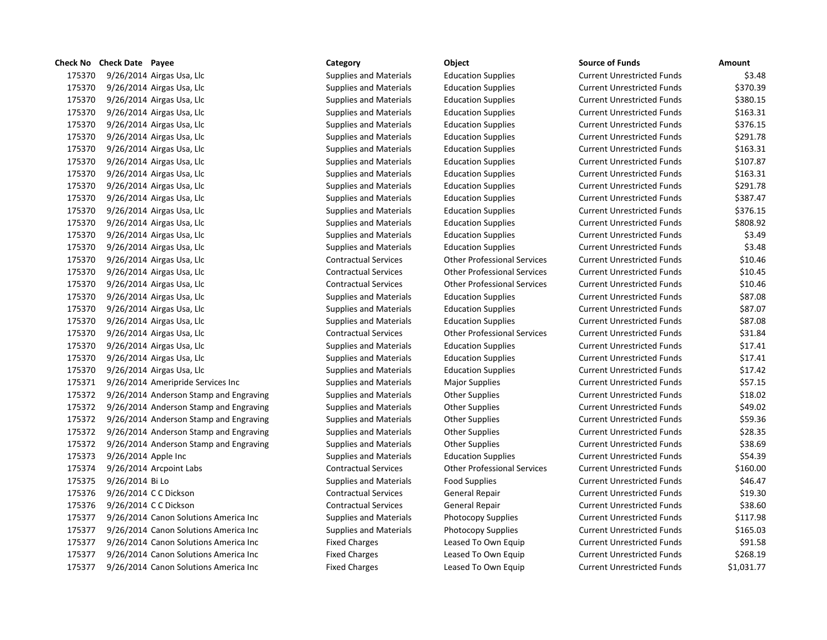| טוופנג ועט | CHECK DATE LAYEE                       | Caregory                      | UNICLI                             | ounce or runus                    |            |
|------------|----------------------------------------|-------------------------------|------------------------------------|-----------------------------------|------------|
| 175370     | 9/26/2014 Airgas Usa, Llc              | Supplies and Materials        | <b>Education Supplies</b>          | <b>Current Unrestricted Funds</b> | \$3.48     |
| 175370     | $9/26/2014$ Airgas Usa, Llc            | <b>Supplies and Materials</b> | <b>Education Supplies</b>          | <b>Current Unrestricted Funds</b> | \$370.39   |
| 175370     | $9/26/2014$ Airgas Usa, Llc            | <b>Supplies and Materials</b> | <b>Education Supplies</b>          | <b>Current Unrestricted Funds</b> | \$380.15   |
| 175370     | 9/26/2014 Airgas Usa, Llc              | <b>Supplies and Materials</b> | <b>Education Supplies</b>          | <b>Current Unrestricted Funds</b> | \$163.31   |
| 175370     | 9/26/2014 Airgas Usa, Llc              | <b>Supplies and Materials</b> | <b>Education Supplies</b>          | <b>Current Unrestricted Funds</b> | \$376.15   |
| 175370     | $9/26/2014$ Airgas Usa, Llc            | <b>Supplies and Materials</b> | <b>Education Supplies</b>          | <b>Current Unrestricted Funds</b> | \$291.78   |
| 175370     | 9/26/2014 Airgas Usa, Llc              | <b>Supplies and Materials</b> | <b>Education Supplies</b>          | <b>Current Unrestricted Funds</b> | \$163.31   |
| 175370     | $9/26/2014$ Airgas Usa, Llc            | <b>Supplies and Materials</b> | <b>Education Supplies</b>          | <b>Current Unrestricted Funds</b> | \$107.87   |
| 175370     | 9/26/2014 Airgas Usa, Llc              | <b>Supplies and Materials</b> | <b>Education Supplies</b>          | <b>Current Unrestricted Funds</b> | \$163.31   |
| 175370     | 9/26/2014 Airgas Usa, Llc              | Supplies and Materials        | <b>Education Supplies</b>          | <b>Current Unrestricted Funds</b> | \$291.78   |
| 175370     | $9/26/2014$ Airgas Usa, Llc            | <b>Supplies and Materials</b> | <b>Education Supplies</b>          | <b>Current Unrestricted Funds</b> | \$387.47   |
| 175370     | 9/26/2014 Airgas Usa, Llc              | <b>Supplies and Materials</b> | <b>Education Supplies</b>          | <b>Current Unrestricted Funds</b> | \$376.15   |
| 175370     | 9/26/2014 Airgas Usa, Llc              | Supplies and Materials        | <b>Education Supplies</b>          | <b>Current Unrestricted Funds</b> | \$808.92   |
| 175370     | $9/26/2014$ Airgas Usa, Llc            | <b>Supplies and Materials</b> | <b>Education Supplies</b>          | <b>Current Unrestricted Funds</b> | \$3.49     |
| 175370     | 9/26/2014 Airgas Usa, Llc              | <b>Supplies and Materials</b> | <b>Education Supplies</b>          | <b>Current Unrestricted Funds</b> | \$3.48     |
| 175370     | $9/26/2014$ Airgas Usa, Llc            | <b>Contractual Services</b>   | <b>Other Professional Services</b> | <b>Current Unrestricted Funds</b> | \$10.46    |
| 175370     | 9/26/2014 Airgas Usa, Llc              | <b>Contractual Services</b>   | <b>Other Professional Services</b> | <b>Current Unrestricted Funds</b> | \$10.45    |
| 175370     | 9/26/2014 Airgas Usa, Llc              | <b>Contractual Services</b>   | <b>Other Professional Services</b> | <b>Current Unrestricted Funds</b> | \$10.46    |
| 175370     | $9/26/2014$ Airgas Usa, Llc            | <b>Supplies and Materials</b> | <b>Education Supplies</b>          | <b>Current Unrestricted Funds</b> | \$87.08    |
| 175370     | 9/26/2014 Airgas Usa, Llc              | <b>Supplies and Materials</b> | <b>Education Supplies</b>          | <b>Current Unrestricted Funds</b> | \$87.07    |
| 175370     | 9/26/2014 Airgas Usa, Llc              | Supplies and Materials        | <b>Education Supplies</b>          | <b>Current Unrestricted Funds</b> | \$87.08    |
| 175370     | $9/26/2014$ Airgas Usa, Llc            | <b>Contractual Services</b>   | <b>Other Professional Services</b> | <b>Current Unrestricted Funds</b> | \$31.84    |
| 175370     | 9/26/2014 Airgas Usa, Llc              | <b>Supplies and Materials</b> | <b>Education Supplies</b>          | <b>Current Unrestricted Funds</b> | \$17.41    |
| 175370     | 9/26/2014 Airgas Usa, Llc              | Supplies and Materials        | <b>Education Supplies</b>          | <b>Current Unrestricted Funds</b> | \$17.41    |
| 175370     | 9/26/2014 Airgas Usa, Llc              | <b>Supplies and Materials</b> | <b>Education Supplies</b>          | <b>Current Unrestricted Funds</b> | \$17.42    |
| 175371     | 9/26/2014 Ameripride Services Inc      | <b>Supplies and Materials</b> | <b>Major Supplies</b>              | <b>Current Unrestricted Funds</b> | \$57.15    |
| 175372     | 9/26/2014 Anderson Stamp and Engraving | <b>Supplies and Materials</b> | <b>Other Supplies</b>              | <b>Current Unrestricted Funds</b> | \$18.02    |
| 175372     | 9/26/2014 Anderson Stamp and Engraving | <b>Supplies and Materials</b> | <b>Other Supplies</b>              | <b>Current Unrestricted Funds</b> | \$49.02    |
| 175372     | 9/26/2014 Anderson Stamp and Engraving | Supplies and Materials        | Other Supplies                     | <b>Current Unrestricted Funds</b> | \$59.36    |
| 175372     | 9/26/2014 Anderson Stamp and Engraving | <b>Supplies and Materials</b> | <b>Other Supplies</b>              | <b>Current Unrestricted Funds</b> | \$28.35    |
| 175372     | 9/26/2014 Anderson Stamp and Engraving | <b>Supplies and Materials</b> | <b>Other Supplies</b>              | <b>Current Unrestricted Funds</b> | \$38.69    |
| 175373     | 9/26/2014 Apple Inc                    | Supplies and Materials        | <b>Education Supplies</b>          | <b>Current Unrestricted Funds</b> | \$54.39    |
| 175374     | 9/26/2014 Arcpoint Labs                | <b>Contractual Services</b>   | <b>Other Professional Services</b> | <b>Current Unrestricted Funds</b> | \$160.00   |
| 175375     | 9/26/2014 Bi Lo                        | <b>Supplies and Materials</b> | Food Supplies                      | <b>Current Unrestricted Funds</b> | \$46.47    |
| 175376     | 9/26/2014 C C Dickson                  | <b>Contractual Services</b>   | General Repair                     | <b>Current Unrestricted Funds</b> | \$19.30    |
| 175376     | 9/26/2014 C C Dickson                  | <b>Contractual Services</b>   | General Repair                     | <b>Current Unrestricted Funds</b> | \$38.60    |
| 175377     | 9/26/2014 Canon Solutions America Inc  | <b>Supplies and Materials</b> | Photocopy Supplies                 | <b>Current Unrestricted Funds</b> | \$117.98   |
| 175377     | 9/26/2014 Canon Solutions America Inc  | Supplies and Materials        | <b>Photocopy Supplies</b>          | <b>Current Unrestricted Funds</b> | \$165.03   |
| 175377     | 9/26/2014 Canon Solutions America Inc  | <b>Fixed Charges</b>          | Leased To Own Equip                | <b>Current Unrestricted Funds</b> | \$91.58    |
| 175377     | 9/26/2014 Canon Solutions America Inc  | <b>Fixed Charges</b>          | Leased To Own Equip                | <b>Current Unrestricted Funds</b> | \$268.19   |
| 175377     | 9/26/2014 Canon Solutions America Inc  | <b>Fixed Charges</b>          | Leased To Own Equip                | <b>Current Unrestricted Funds</b> | \$1,031.77 |

|        | Check No Check Date Payee              | Category                      | Object                             | <b>Source of Funds</b>            | Amount     |
|--------|----------------------------------------|-------------------------------|------------------------------------|-----------------------------------|------------|
| 175370 | 9/26/2014 Airgas Usa, Llc              | <b>Supplies and Materials</b> | <b>Education Supplies</b>          | <b>Current Unrestricted Funds</b> | \$3.48     |
| 175370 | $9/26/2014$ Airgas Usa, Llc            | <b>Supplies and Materials</b> | <b>Education Supplies</b>          | <b>Current Unrestricted Funds</b> | \$370.39   |
| 175370 | 9/26/2014 Airgas Usa, Llc              | <b>Supplies and Materials</b> | <b>Education Supplies</b>          | <b>Current Unrestricted Funds</b> | \$380.15   |
| 175370 | 9/26/2014 Airgas Usa, Llc              | Supplies and Materials        | <b>Education Supplies</b>          | <b>Current Unrestricted Funds</b> | \$163.31   |
| 175370 | 9/26/2014 Airgas Usa, Llc              | <b>Supplies and Materials</b> | <b>Education Supplies</b>          | <b>Current Unrestricted Funds</b> | \$376.15   |
| 175370 | $9/26/2014$ Airgas Usa, Llc            | <b>Supplies and Materials</b> | <b>Education Supplies</b>          | <b>Current Unrestricted Funds</b> | \$291.78   |
| 175370 | 9/26/2014 Airgas Usa, Llc              | <b>Supplies and Materials</b> | <b>Education Supplies</b>          | <b>Current Unrestricted Funds</b> | \$163.31   |
| 175370 | $9/26/2014$ Airgas Usa, Llc            | <b>Supplies and Materials</b> | <b>Education Supplies</b>          | <b>Current Unrestricted Funds</b> | \$107.87   |
| 175370 | 9/26/2014 Airgas Usa, Llc              | <b>Supplies and Materials</b> | <b>Education Supplies</b>          | <b>Current Unrestricted Funds</b> | \$163.31   |
| 175370 | 9/26/2014 Airgas Usa, Llc              | <b>Supplies and Materials</b> | <b>Education Supplies</b>          | <b>Current Unrestricted Funds</b> | \$291.78   |
| 175370 | 9/26/2014 Airgas Usa, Llc              | <b>Supplies and Materials</b> | <b>Education Supplies</b>          | <b>Current Unrestricted Funds</b> | \$387.47   |
| 175370 | 9/26/2014 Airgas Usa, Llc              | <b>Supplies and Materials</b> | <b>Education Supplies</b>          | <b>Current Unrestricted Funds</b> | \$376.15   |
| 175370 | 9/26/2014 Airgas Usa, Llc              | <b>Supplies and Materials</b> | <b>Education Supplies</b>          | <b>Current Unrestricted Funds</b> | \$808.92   |
| 175370 | $9/26/2014$ Airgas Usa, Llc            | <b>Supplies and Materials</b> | <b>Education Supplies</b>          | <b>Current Unrestricted Funds</b> | \$3.49     |
| 175370 | 9/26/2014 Airgas Usa, Llc              | <b>Supplies and Materials</b> | <b>Education Supplies</b>          | <b>Current Unrestricted Funds</b> | \$3.48     |
| 175370 | $9/26/2014$ Airgas Usa, Llc            | <b>Contractual Services</b>   | <b>Other Professional Services</b> | <b>Current Unrestricted Funds</b> | \$10.46    |
| 175370 | 9/26/2014 Airgas Usa, Llc              | <b>Contractual Services</b>   | <b>Other Professional Services</b> | <b>Current Unrestricted Funds</b> | \$10.45    |
| 175370 | 9/26/2014 Airgas Usa, Llc              | <b>Contractual Services</b>   | <b>Other Professional Services</b> | <b>Current Unrestricted Funds</b> | \$10.46    |
| 175370 | 9/26/2014 Airgas Usa, Llc              | <b>Supplies and Materials</b> | <b>Education Supplies</b>          | <b>Current Unrestricted Funds</b> | \$87.08    |
| 175370 | 9/26/2014 Airgas Usa, Llc              | <b>Supplies and Materials</b> | <b>Education Supplies</b>          | <b>Current Unrestricted Funds</b> | \$87.07    |
| 175370 | 9/26/2014 Airgas Usa, Llc              | <b>Supplies and Materials</b> | <b>Education Supplies</b>          | <b>Current Unrestricted Funds</b> | \$87.08    |
| 175370 | $9/26/2014$ Airgas Usa, Llc            | <b>Contractual Services</b>   | <b>Other Professional Services</b> | <b>Current Unrestricted Funds</b> | \$31.84    |
| 175370 | 9/26/2014 Airgas Usa, Llc              | <b>Supplies and Materials</b> | <b>Education Supplies</b>          | <b>Current Unrestricted Funds</b> | \$17.41    |
| 175370 | 9/26/2014 Airgas Usa, Llc              | <b>Supplies and Materials</b> | <b>Education Supplies</b>          | <b>Current Unrestricted Funds</b> | \$17.41    |
| 175370 | 9/26/2014 Airgas Usa, Llc              | <b>Supplies and Materials</b> | <b>Education Supplies</b>          | <b>Current Unrestricted Funds</b> | \$17.42    |
| 175371 | 9/26/2014 Ameripride Services Inc      | <b>Supplies and Materials</b> | <b>Major Supplies</b>              | <b>Current Unrestricted Funds</b> | \$57.15    |
| 175372 | 9/26/2014 Anderson Stamp and Engraving | <b>Supplies and Materials</b> | <b>Other Supplies</b>              | <b>Current Unrestricted Funds</b> | \$18.02    |
| 175372 | 9/26/2014 Anderson Stamp and Engraving | <b>Supplies and Materials</b> | <b>Other Supplies</b>              | <b>Current Unrestricted Funds</b> | \$49.02    |
| 175372 | 9/26/2014 Anderson Stamp and Engraving | <b>Supplies and Materials</b> | <b>Other Supplies</b>              | <b>Current Unrestricted Funds</b> | \$59.36    |
| 175372 | 9/26/2014 Anderson Stamp and Engraving | <b>Supplies and Materials</b> | <b>Other Supplies</b>              | <b>Current Unrestricted Funds</b> | \$28.35    |
| 175372 | 9/26/2014 Anderson Stamp and Engraving | <b>Supplies and Materials</b> | <b>Other Supplies</b>              | <b>Current Unrestricted Funds</b> | \$38.69    |
| 175373 | 9/26/2014 Apple Inc                    | Supplies and Materials        | <b>Education Supplies</b>          | <b>Current Unrestricted Funds</b> | \$54.39    |
| 175374 | 9/26/2014 Arcpoint Labs                | <b>Contractual Services</b>   | <b>Other Professional Services</b> | <b>Current Unrestricted Funds</b> | \$160.00   |
| 175375 | 9/26/2014 Bi Lo                        | <b>Supplies and Materials</b> | Food Supplies                      | <b>Current Unrestricted Funds</b> | \$46.47    |
| 175376 | 9/26/2014 C C Dickson                  | <b>Contractual Services</b>   | General Repair                     | <b>Current Unrestricted Funds</b> | \$19.30    |
| 175376 | 9/26/2014 C C Dickson                  | <b>Contractual Services</b>   | General Repair                     | <b>Current Unrestricted Funds</b> | \$38.60    |
| 175377 | 9/26/2014 Canon Solutions America Inc  | <b>Supplies and Materials</b> | Photocopy Supplies                 | <b>Current Unrestricted Funds</b> | \$117.98   |
| 175377 | 9/26/2014 Canon Solutions America Inc  | <b>Supplies and Materials</b> | <b>Photocopy Supplies</b>          | <b>Current Unrestricted Funds</b> | \$165.03   |
| 175377 | 9/26/2014 Canon Solutions America Inc  | <b>Fixed Charges</b>          | Leased To Own Equip                | <b>Current Unrestricted Funds</b> | \$91.58    |
| 175377 | 9/26/2014 Canon Solutions America Inc  | <b>Fixed Charges</b>          | Leased To Own Equip                | <b>Current Unrestricted Funds</b> | \$268.19   |
| 175377 | 9/26/2014 Canon Solutions America Inc. | <b>Fixed Charges</b>          | Leased To Own Fouin                | Current Unrestricted Funds        | \$1.031.77 |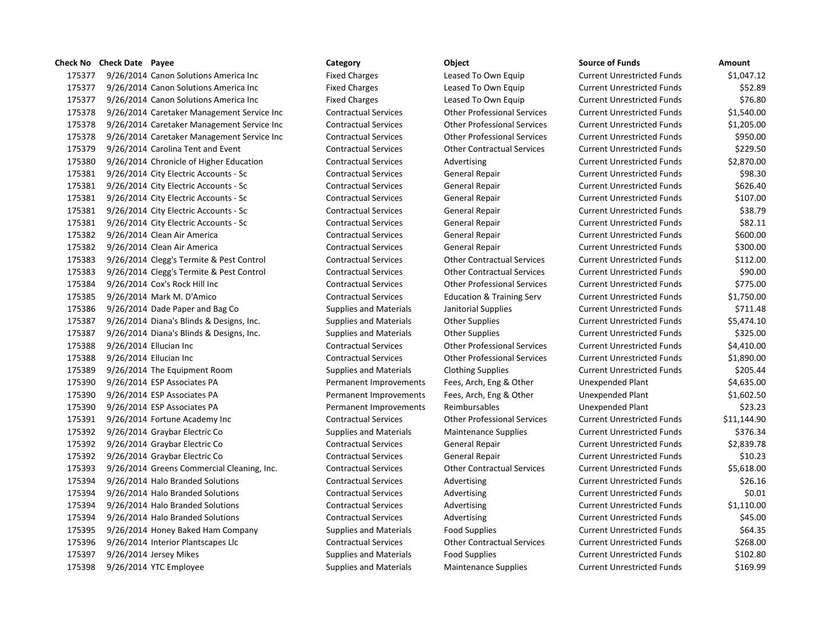9/26/2014 Canon Solutions America Inc Fixed Charges Leased To Own Equip Current Unrestricted Funds \$1,047.12 9/26/2014 Canon Solutions America Inc Fixed Charges Leased To Own Equip Current Unrestricted Funds \$52.89 9/26/2014 Canon Solutions America Inc Fixed Charges Leased To Own Equip Current Unrestricted Funds \$76.80 9/26/2014 Caretaker Management Service Inc Contractual Services Other Professional Services Current Unrestricted Funds \$1,540.00 9/26/2014 Caretaker Management Service Inc Contractual Services Other Professional Services Current Unrestricted Funds \$1,205.00 9/26/2014 Caretaker Management Service Inc Contractual Services Other Professional Services Current Unrestricted Funds \$950.00 9/26/2014 Carolina Tent and Event Contractual Services Other Contractual Services Current Unrestricted Funds \$229.50 9/26/2014 Chronicle of Higher Education Contractual Services Advertising Current Unrestricted Funds \$2,870.00 9/26/2014 City Electric Accounts - Sc Contractual Services General Repair Current Unrestricted Funds \$98.30 9/26/2014 City Electric Accounts - Sc Contractual Services General Repair Current Unrestricted Funds \$626.40 9/26/2014 City Electric Accounts - Sc Contractual Services General Repair Current Unrestricted Funds \$107.00 9/26/2014 City Electric Accounts - Sc Contractual Services General Repair Current Unrestricted Funds \$38.79 9/26/2014 City Electric Accounts - Sc Contractual Services General Repair Current Unrestricted Funds \$82.11 9/26/2014 Clean Air America Contractual Services General Repair Current Unrestricted Funds \$600.00 9/26/2014 Clean Air America Contractual Services General Repair Current Unrestricted Funds \$300.00 9/26/2014 Clegg's Termite & Pest Control Contractual Services Other Contractual Services Current Unrestricted Funds \$112.00 9/26/2014 Clegg's Termite & Pest Control Contractual Services Other Contractual Services Current Unrestricted Funds \$90.00 9/26/2014 Cox's Rock Hill Inc Contractual Services Other Professional Services Current Unrestricted Funds \$775.00 9/26/2014 Mark M. D'Amico Contractual Services Education & Training Serv Current Unrestricted Funds \$1,750.00 9/26/2014 Dade Paper and Bag Co Supplies and Materials Janitorial Supplies Current Unrestricted Funds \$711.48 9/26/2014 Diana's Blinds & Designs, Inc. Supplies and Materials Other Supplies Current Unrestricted Funds \$5,474.10 9/26/2014 Diana's Blinds & Designs, Inc. Supplies and Materials Other Supplies Current Unrestricted Funds \$325.00 9/26/2014 Ellucian Inc Contractual Services Other Professional Services Current Unrestricted Funds \$4,410.00 9/26/2014 Ellucian Inc Contractual Services Other Professional Services Current Unrestricted Funds \$1,890.00 9/26/2014 The Equipment Room Supplies and Materials Clothing Supplies Current Unrestricted Funds \$205.44 9/26/2014 ESP Associates PA Permanent Improvements Fees, Arch, Eng & Other Unexpended Plant \$4,635.00 9/26/2014 ESP Associates PA Permanent Improvements Fees, Arch, Eng & Other Unexpended Plant \$1,602.50 9/26/2014 ESP Associates PA Permanent Improvements Reimbursables Unexpended Plant \$23.23 9/26/2014 Fortune Academy Inc Contractual Services Other Professional Services Current Unrestricted Funds \$11,144.90 175392 9/26/2014 Graybar Electric Co Supplies and Materials Maintenance Supplies Current Unrestricted Funds \$376.34 9/26/2014 Graybar Electric Co Contractual Services General Repair Current Unrestricted Funds \$2,839.78 9/26/2014 Graybar Electric Co Contractual Services General Repair Current Unrestricted Funds \$10.23 9/26/2014 Greens Commercial Cleaning, Inc. Contractual Services Other Contractual Services Current Unrestricted Funds \$5,618.00 9/26/2014 Halo Branded Solutions Contractual Services Advertising Current Unrestricted Funds \$26.16 9/26/2014 Halo Branded Solutions Contractual Services Advertising Current Unrestricted Funds \$0.01 9/26/2014 Halo Branded Solutions Contractual Services Advertising Current Unrestricted Funds \$1,110.00 9/26/2014 Halo Branded Solutions Contractual Services Advertising Current Unrestricted Funds \$45.00 9/26/2014 Honey Baked Ham Company Supplies and Materials Food Supplies Current Unrestricted Funds \$64.35 9/26/2014 Interior Plantscapes Llc Contractual Services Other Contractual Services Current Unrestricted Funds \$268.00 9/26/2014 Jersey Mikes Supplies and Materials Food Supplies Current Unrestricted Funds \$102.80 9/26/2014 YTC Employee Supplies and Materials Maintenance Supplies Current Unrestricted Funds \$169.99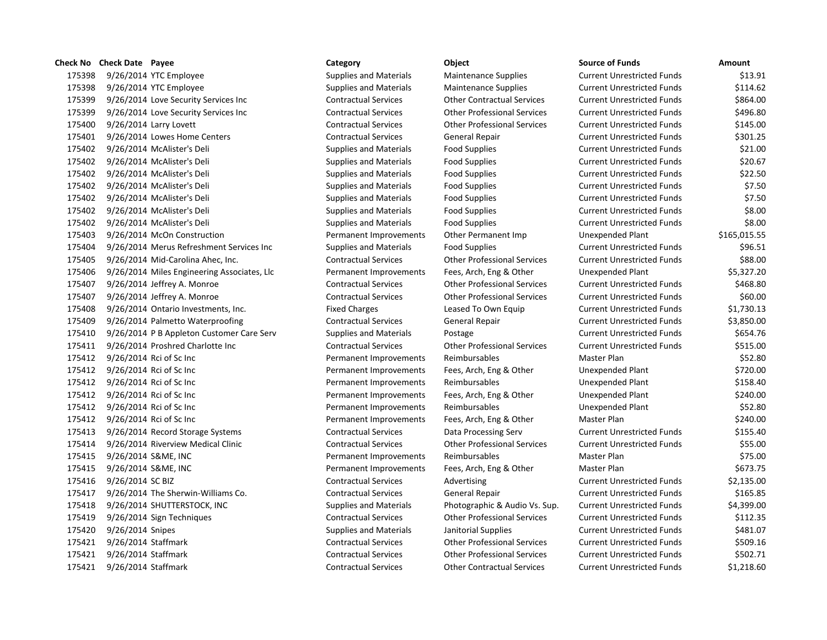9/26/2014 YTC Employee Supplies and Materials Maintenance Supplies Current Unrestricted Funds \$13.91 9/26/2014 YTC Employee Supplies and Materials Maintenance Supplies Current Unrestricted Funds \$114.62 9/26/2014 Love Security Services Inc Contractual Services Other Contractual Services Current Unrestricted Funds \$864.00 9/26/2014 Love Security Services Inc Contractual Services Other Professional Services Current Unrestricted Funds \$496.80 9/26/2014 Larry Lovett Contractual Services Other Professional Services Current Unrestricted Funds \$145.00 9/26/2014 Lowes Home Centers Contractual Services General Repair Current Unrestricted Funds \$301.25 9/26/2014 McAlister's Deli Supplies and Materials Food Supplies Current Unrestricted Funds \$21.00 9/26/2014 McAlister's Deli Supplies and Materials Food Supplies Current Unrestricted Funds \$20.67 9/26/2014 McAlister's Deli Supplies and Materials Food Supplies Current Unrestricted Funds \$22.50 9/26/2014 McAlister's Deli Supplies and Materials Food Supplies Current Unrestricted Funds \$7.50 9/26/2014 McAlister's Deli Supplies and Materials Food Supplies Current Unrestricted Funds \$7.50 9/26/2014 McAlister's Deli Supplies and Materials Food Supplies Current Unrestricted Funds \$8.00 9/26/2014 McAlister's Deli Supplies and Materials Food Supplies Current Unrestricted Funds \$8.00 9/26/2014 McOn Construction Permanent Improvements Other Permanent Imp Unexpended Plant \$165,015.55 9/26/2014 Merus Refreshment Services Inc Supplies and Materials Food Supplies Current Unrestricted Funds \$96.51 9/26/2014 Mid-Carolina Ahec, Inc. Contractual Services Other Professional Services Current Unrestricted Funds \$88.00 9/26/2014 Miles Engineering Associates, Llc Permanent Improvements Fees, Arch, Eng & Other Unexpended Plant \$5,327.20 9/26/2014 Jeffrey A. Monroe Contractual Services Other Professional Services Current Unrestricted Funds \$468.80 9/26/2014 Jeffrey A. Monroe Contractual Services Other Professional Services Current Unrestricted Funds \$60.00 9/26/2014 Ontario Investments, Inc. Fixed Charges Leased To Own Equip Current Unrestricted Funds \$1,730.13 9/26/2014 Palmetto Waterproofing Contractual Services General Repair Current Unrestricted Funds \$3,850.00 175410 9/26/2014 P B Appleton Customer Care Serv Supplies and Materials Postage Current Unrestricted Funds \$654.76 9/26/2014 Proshred Charlotte Inc Contractual Services Other Professional Services Current Unrestricted Funds \$515.00 9/26/2014 Rci of Sc Inc Permanent Improvements Reimbursables Master Plan \$52.80 9/26/2014 Rci of Sc Inc Permanent Improvements Fees, Arch, Eng & Other Unexpended Plant \$720.00 9/26/2014 Rci of Sc Inc Permanent Improvements Reimbursables Unexpended Plant \$158.40 9/26/2014 Rci of Sc Inc Permanent Improvements Fees, Arch, Eng & Other Unexpended Plant \$240.00 9/26/2014 Rci of Sc Inc Permanent Improvements Reimbursables Unexpended Plant \$52.80 9/26/2014 Rci of Sc Inc Permanent Improvements Fees, Arch, Eng & Other Master Plan \$240.00 9/26/2014 Record Storage Systems Contractual Services Data Processing Serv Current Unrestricted Funds \$155.40 9/26/2014 Riverview Medical Clinic Contractual Services Other Professional Services Current Unrestricted Funds \$55.00 9/26/2014 S&ME, INC Permanent Improvements Reimbursables Master Plan \$75.00 9/26/2014 S&ME, INC Permanent Improvements Fees, Arch, Eng & Other Master Plan \$673.75 9/26/2014 SC BIZ Contractual Services Advertising Current Unrestricted Funds \$2,135.00 9/26/2014 The Sherwin-Williams Co. Contractual Services General Repair Current Unrestricted Funds \$165.85 9/26/2014 SHUTTERSTOCK, INC Supplies and Materials Photographic & Audio Vs. Sup. Current Unrestricted Funds \$4,399.00 9/26/2014 Sign Techniques Contractual Services Other Professional Services Current Unrestricted Funds \$112.35 175420 9/26/2014 Snipes Supplies and Materials Janitorial Supplies Current Unrestricted Funds \$481.07 9/26/2014 Staffmark Contractual Services Other Professional Services Current Unrestricted Funds \$509.16 9/26/2014 Staffmark Contractual Services Other Professional Services Current Unrestricted Funds \$502.71

9/26/2014 Staffmark Contractual Services Other Contractual Services Current Unrestricted Funds \$1,218.60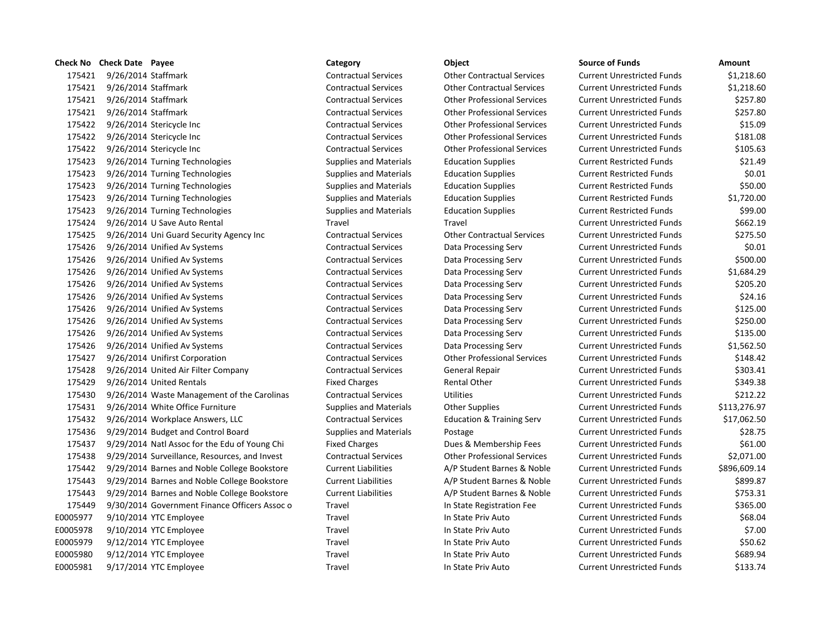|          | Check No Check Date Payee |                                               | Category                      | Object                               | <b>Source of Funds</b>            | Amount   |
|----------|---------------------------|-----------------------------------------------|-------------------------------|--------------------------------------|-----------------------------------|----------|
| 175421   | 9/26/2014 Staffmark       |                                               | <b>Contractual Services</b>   | <b>Other Contractual Services</b>    | <b>Current Unrestricted Funds</b> | \$1,21   |
| 175421   | 9/26/2014 Staffmark       |                                               | <b>Contractual Services</b>   | <b>Other Contractual Services</b>    | <b>Current Unrestricted Funds</b> | \$1,21   |
| 175421   | 9/26/2014 Staffmark       |                                               | <b>Contractual Services</b>   | <b>Other Professional Services</b>   | <b>Current Unrestricted Funds</b> | \$25     |
| 175421   | 9/26/2014 Staffmark       |                                               | <b>Contractual Services</b>   | <b>Other Professional Services</b>   | <b>Current Unrestricted Funds</b> | \$25     |
| 175422   |                           | 9/26/2014 Stericycle Inc                      | <b>Contractual Services</b>   | <b>Other Professional Services</b>   | <b>Current Unrestricted Funds</b> | \$1      |
| 175422   |                           | 9/26/2014 Stericycle Inc                      | <b>Contractual Services</b>   | <b>Other Professional Services</b>   | <b>Current Unrestricted Funds</b> | \$18     |
| 175422   |                           | 9/26/2014 Stericycle Inc                      | <b>Contractual Services</b>   | <b>Other Professional Services</b>   | <b>Current Unrestricted Funds</b> | \$10     |
| 175423   |                           | 9/26/2014 Turning Technologies                | <b>Supplies and Materials</b> | <b>Education Supplies</b>            | <b>Current Restricted Funds</b>   | \$2      |
| 175423   |                           | 9/26/2014 Turning Technologies                | <b>Supplies and Materials</b> | <b>Education Supplies</b>            | <b>Current Restricted Funds</b>   | \$       |
| 175423   |                           | 9/26/2014 Turning Technologies                | <b>Supplies and Materials</b> | <b>Education Supplies</b>            | <b>Current Restricted Funds</b>   | \$5      |
| 175423   |                           | 9/26/2014 Turning Technologies                | <b>Supplies and Materials</b> | <b>Education Supplies</b>            | <b>Current Restricted Funds</b>   | \$1,72   |
| 175423   |                           | 9/26/2014 Turning Technologies                | <b>Supplies and Materials</b> | <b>Education Supplies</b>            | <b>Current Restricted Funds</b>   | \$9      |
| 175424   |                           | 9/26/2014 U Save Auto Rental                  | Travel                        | Travel                               | <b>Current Unrestricted Funds</b> | \$66     |
| 175425   |                           | 9/26/2014 Uni Guard Security Agency Inc       | <b>Contractual Services</b>   | <b>Other Contractual Services</b>    | <b>Current Unrestricted Funds</b> | \$27     |
| 175426   |                           | 9/26/2014 Unified Av Systems                  | <b>Contractual Services</b>   | Data Processing Serv                 | <b>Current Unrestricted Funds</b> | \$       |
| 175426   |                           | 9/26/2014 Unified Av Systems                  | <b>Contractual Services</b>   | Data Processing Serv                 | <b>Current Unrestricted Funds</b> | \$50     |
| 175426   |                           | 9/26/2014 Unified Av Systems                  | <b>Contractual Services</b>   | Data Processing Serv                 | <b>Current Unrestricted Funds</b> | \$1,68   |
| 175426   |                           | 9/26/2014 Unified Av Systems                  | <b>Contractual Services</b>   | Data Processing Serv                 | <b>Current Unrestricted Funds</b> | \$20     |
| 175426   |                           | 9/26/2014 Unified Av Systems                  | <b>Contractual Services</b>   | Data Processing Serv                 | <b>Current Unrestricted Funds</b> | \$2      |
| 175426   |                           | 9/26/2014 Unified Av Systems                  | <b>Contractual Services</b>   | Data Processing Serv                 | <b>Current Unrestricted Funds</b> | \$12     |
| 175426   |                           | 9/26/2014 Unified Av Systems                  | <b>Contractual Services</b>   | Data Processing Serv                 | <b>Current Unrestricted Funds</b> | \$25     |
| 175426   |                           | 9/26/2014 Unified Av Systems                  | <b>Contractual Services</b>   | Data Processing Serv                 | <b>Current Unrestricted Funds</b> | \$13     |
| 175426   |                           | 9/26/2014 Unified Av Systems                  | <b>Contractual Services</b>   | Data Processing Serv                 | <b>Current Unrestricted Funds</b> | \$1,56   |
| 175427   |                           | 9/26/2014 Unifirst Corporation                | <b>Contractual Services</b>   | <b>Other Professional Services</b>   | <b>Current Unrestricted Funds</b> | \$14     |
| 175428   |                           | 9/26/2014 United Air Filter Company           | <b>Contractual Services</b>   | General Repair                       | <b>Current Unrestricted Funds</b> | \$30     |
| 175429   |                           | 9/26/2014 United Rentals                      | <b>Fixed Charges</b>          | <b>Rental Other</b>                  | <b>Current Unrestricted Funds</b> | \$34     |
| 175430   |                           | 9/26/2014 Waste Management of the Carolinas   | <b>Contractual Services</b>   | <b>Utilities</b>                     | <b>Current Unrestricted Funds</b> | \$21     |
| 175431   |                           | 9/26/2014 White Office Furniture              | <b>Supplies and Materials</b> | <b>Other Supplies</b>                | <b>Current Unrestricted Funds</b> | \$113,27 |
| 175432   |                           | 9/26/2014 Workplace Answers, LLC              | <b>Contractual Services</b>   | <b>Education &amp; Training Serv</b> | <b>Current Unrestricted Funds</b> | \$17,06  |
| 175436   |                           | 9/29/2014 Budget and Control Board            | <b>Supplies and Materials</b> | Postage                              | <b>Current Unrestricted Funds</b> | \$2      |
| 175437   |                           | 9/29/2014 Natl Assoc for the Edu of Young Chi | <b>Fixed Charges</b>          | Dues & Membership Fees               | <b>Current Unrestricted Funds</b> | \$6      |
| 175438   |                           | 9/29/2014 Surveillance, Resources, and Invest | <b>Contractual Services</b>   | <b>Other Professional Services</b>   | <b>Current Unrestricted Funds</b> | \$2,07   |
| 175442   |                           | 9/29/2014 Barnes and Noble College Bookstore  | <b>Current Liabilities</b>    | A/P Student Barnes & Noble           | <b>Current Unrestricted Funds</b> | \$896,60 |
| 175443   |                           | 9/29/2014 Barnes and Noble College Bookstore  | <b>Current Liabilities</b>    | A/P Student Barnes & Noble           | <b>Current Unrestricted Funds</b> | \$89     |
| 175443   |                           | 9/29/2014 Barnes and Noble College Bookstore  | <b>Current Liabilities</b>    | A/P Student Barnes & Noble           | <b>Current Unrestricted Funds</b> | \$75     |
| 175449   |                           | 9/30/2014 Government Finance Officers Assoc o | Travel                        | In State Registration Fee            | <b>Current Unrestricted Funds</b> | \$36     |
| E0005977 |                           | 9/10/2014 YTC Employee                        | Travel                        | In State Priv Auto                   | <b>Current Unrestricted Funds</b> | \$6      |
| E0005978 |                           | 9/10/2014 YTC Employee                        | Travel                        | In State Priv Auto                   | <b>Current Unrestricted Funds</b> | \$       |
| E0005979 |                           | 9/12/2014 YTC Employee                        | Travel                        | In State Priv Auto                   | <b>Current Unrestricted Funds</b> | \$5      |
| E0005980 |                           | 9/12/2014 YTC Employee                        | Travel                        | In State Priv Auto                   | <b>Current Unrestricted Funds</b> | \$68     |
| E0005981 |                           | 9/17/2014 YTC Employee                        | Travel                        | In State Priv Auto                   | <b>Current Unrestricted Funds</b> | \$13     |